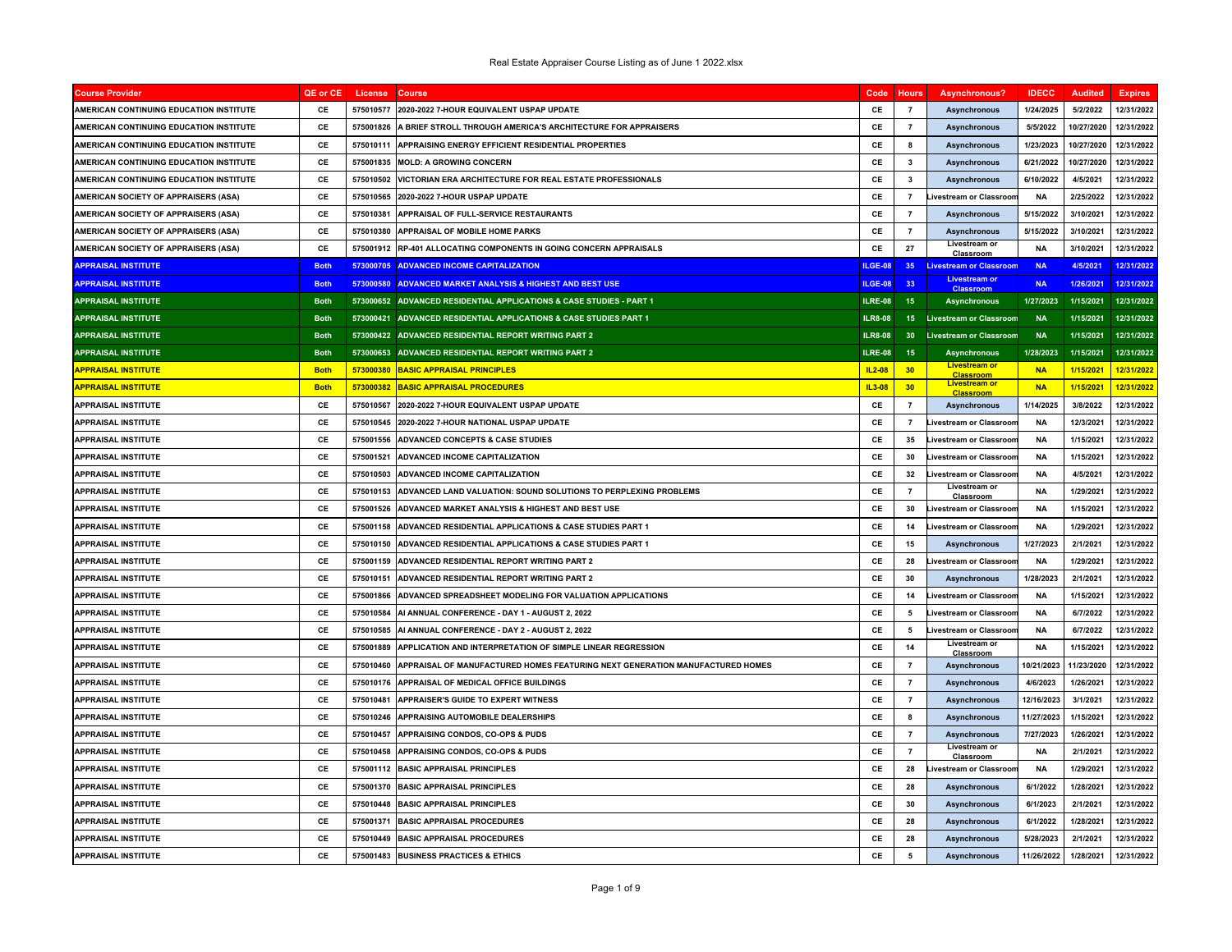| <b>Course Provider</b>                      | QE or CE    | License   | <b>Course</b>                                                                | Code           | <b>Hours</b>    | <b>Asynchronous?</b>                     | <b>IDECC</b> | <b>Audited</b> | <b>Expires</b> |
|---------------------------------------------|-------------|-----------|------------------------------------------------------------------------------|----------------|-----------------|------------------------------------------|--------------|----------------|----------------|
| AMERICAN CONTINUING EDUCATION INSTITUTE     | <b>CE</b>   | 575010577 | 2020-2022 7-HOUR EQUIVALENT USPAP UPDATE                                     | <b>CF</b>      | $\overline{7}$  | <b>Asynchronous</b>                      | 1/24/2025    | 5/2/2022       | 12/31/2022     |
| AMERICAN CONTINUING EDUCATION INSTITUTE     | <b>CE</b>   | 575001826 | A BRIEF STROLL THROUGH AMERICA'S ARCHITECTURE FOR APPRAISERS                 | CE             | $\overline{7}$  | <b>Asynchronous</b>                      | 5/5/2022     | 10/27/2020     | 12/31/2022     |
| AMERICAN CONTINUING EDUCATION INSTITUTE     | CE          | 575010111 | APPRAISING ENERGY EFFICIENT RESIDENTIAL PROPERTIES                           | CE             | 8               | <b>Asynchronous</b>                      | 1/23/2023    | 10/27/2020     | 12/31/2022     |
| AMERICAN CONTINUING EDUCATION INSTITUTE     | CE          | 575001835 | <b>MOLD: A GROWING CONCERN</b>                                               | CE             | 3               | <b>Asynchronous</b>                      | 6/21/2022    | 10/27/2020     | 12/31/2022     |
| AMERICAN CONTINUING EDUCATION INSTITUTE     | CE          | 575010502 | VICTORIAN ERA ARCHITECTURE FOR REAL ESTATE PROFESSIONALS                     | CE             | $\mathbf{3}$    | <b>Asynchronous</b>                      | 6/10/2022    | 4/5/2021       | 12/31/2022     |
| <b>AMERICAN SOCIETY OF APPRAISERS (ASA)</b> | CE          | 575010565 | 2020-2022 7-HOUR USPAP UPDATE                                                | CE             | $\overline{7}$  | Livestream or Classroon                  | <b>NA</b>    | 2/25/2022      | 12/31/2022     |
| AMERICAN SOCIETY OF APPRAISERS (ASA)        | CE          | 575010381 | APPRAISAL OF FULL-SERVICE RESTAURANTS                                        | CE             | $\overline{7}$  | <b>Asynchronous</b>                      | 5/15/2022    | 3/10/2021      | 12/31/2022     |
| AMERICAN SOCIETY OF APPRAISERS (ASA)        | CE          | 575010380 | APPRAISAL OF MOBILE HOME PARKS                                               | CE             | $\overline{7}$  | Asynchronous                             | 5/15/2022    | 3/10/2021      | 12/31/2022     |
| AMERICAN SOCIETY OF APPRAISERS (ASA)        | <b>CF</b>   | 575001912 | RP-401 ALLOCATING COMPONENTS IN GOING CONCERN APPRAISALS                     | CE             | 27              | Livestream or<br>Classroom               | <b>NA</b>    | 3/10/2021      | 12/31/2022     |
| <b>APPRAISAL INSTITUTE</b>                  | <b>Both</b> | 573000705 | <b>ADVANCED INCOME CAPITALIZATION</b>                                        | ILGE-08        | 35              | <b>Livestream or Classroom</b>           | <b>NA</b>    | 4/5/2021       | 12/31/2022     |
| <b>APPRAISAL INSTITUTE</b>                  | <b>Both</b> | 573000580 | ADVANCED MARKET ANALYSIS & HIGHEST AND BEST USE                              | ILGE-08        | 33              | <b>Classroom</b>                         | <b>NA</b>    | 1/26/2021      | 12/31/2022     |
| <b>APPRAISAL INSTITUTE</b>                  | <b>Both</b> |           | 573000652 ADVANCED RESIDENTIAL APPLICATIONS & CASE STUDIES - PART 1          | ILRE-08        | 15              | <b>Asynchronous</b>                      | 1/27/2023    | 1/15/2021      | 12/31/2022     |
| <b>APPRAISAL INSTITUTE</b>                  | <b>Both</b> |           | 573000421 ADVANCED RESIDENTIAL APPLICATIONS & CASE STUDIES PART 1            | <b>ILR8-08</b> | 15              | <b>Livestream or Classroom</b>           | <b>NA</b>    | 1/15/2021      | 12/31/2022     |
| <b>APPRAISAL INSTITUTE</b>                  | <b>Both</b> |           | 573000422 ADVANCED RESIDENTIAL REPORT WRITING PART 2                         | <b>ILR8-08</b> | 30              | <b>Livestream or Classroom</b>           | <b>NA</b>    | 1/15/2021      | 12/31/2022     |
| <b>APPRAISAL INSTITUTE</b>                  | <b>Both</b> |           | 573000653 ADVANCED RESIDENTIAL REPORT WRITING PART 2                         | <b>ILRE-08</b> | 15              | <b>Asynchronous</b>                      | 1/28/2023    | 1/15/2021      | 12/31/2022     |
| <b>APPRAISAL INSTITUTE</b>                  | <b>Both</b> | 573000380 | <b>BASIC APPRAISAL PRINCIPLES</b>                                            | $IL2-08$       | 30 <sub>2</sub> | <b>Livestream or</b><br><b>Classroom</b> | <b>NA</b>    | 1/15/2021      | 12/31/2022     |
| <mark>APPRAISAL INSTITUTE</mark>            | <b>Both</b> | 573000382 | <b>BASIC APPRAISAL PROCEDURES</b>                                            | IL3-08         | 30              | <b>Livestream or</b><br>Classroom        | <b>NA</b>    | 1/15/2021      | 12/31/2022     |
| <b>APPRAISAL INSTITUTE</b>                  | CE          | 575010567 | 2020-2022 7-HOUR EQUIVALENT USPAP UPDATE                                     | CE             | $\overline{7}$  | <b>Asynchronous</b>                      | 1/14/2025    | 3/8/2022       | 12/31/2022     |
| <b>APPRAISAL INSTITUTE</b>                  | CE          | 575010545 | 2020-2022 7-HOUR NATIONAL USPAP UPDATE                                       | CE             | $\overline{7}$  | <b>Livestream or Classroon</b>           | <b>NA</b>    | 12/3/2021      | 12/31/2022     |
| <b>APPRAISAL INSTITUTE</b>                  | CE          | 575001556 | <b>ADVANCED CONCEPTS &amp; CASE STUDIES</b>                                  | CE             | 35              | Livestream or Classroor                  | <b>NA</b>    | 1/15/2021      | 12/31/2022     |
| <b>APPRAISAL INSTITUTE</b>                  | CE          | 575001521 | ADVANCED INCOME CAPITALIZATION                                               | CE             | 30              | Livestream or Classroon                  | <b>NA</b>    | 1/15/2021      | 12/31/2022     |
| <b>APPRAISAL INSTITUTE</b>                  | CE          | 575010503 | ADVANCED INCOME CAPITALIZATION                                               | CE             | 32              | Livestream or Classroon                  | <b>NA</b>    | 4/5/2021       | 12/31/2022     |
| <b>APPRAISAL INSTITUTE</b>                  | <b>CE</b>   | 575010153 | ADVANCED LAND VALUATION: SOUND SOLUTIONS TO PERPLEXING PROBLEMS              | CE             | $\overline{7}$  | Livestream or<br>Classroom               | <b>NA</b>    | 1/29/2021      | 12/31/2022     |
| <b>APPRAISAL INSTITUTE</b>                  | CE          | 575001526 | ADVANCED MARKET ANALYSIS & HIGHEST AND BEST USE                              | CE             | 30              | Livestream or Classroor                  | <b>NA</b>    | 1/15/2021      | 12/31/2022     |
| <b>APPRAISAL INSTITUTE</b>                  | CE          | 575001158 | ADVANCED RESIDENTIAL APPLICATIONS & CASE STUDIES PART 1                      | CE             | 14              | <b>Livestream or Classroon</b>           | <b>NA</b>    | 1/29/2021      | 12/31/2022     |
| <b>APPRAISAL INSTITUTE</b>                  | CE          | 575010150 | <b>ADVANCED RESIDENTIAL APPLICATIONS &amp; CASE STUDIES PART 1</b>           | CE             | 15              | Asynchronous                             | 1/27/2023    | 2/1/2021       | 12/31/2022     |
| <b>APPRAISAL INSTITUTE</b>                  | CE          | 575001159 | ADVANCED RESIDENTIAL REPORT WRITING PART 2                                   | CE             | 28              | ivestream or Classroor                   | <b>NA</b>    | 1/29/2021      | 12/31/2022     |
| <b>APPRAISAL INSTITUTE</b>                  | CE          | 575010151 | ADVANCED RESIDENTIAL REPORT WRITING PART 2                                   | CE             | 30              | Asynchronous                             | 1/28/2023    | 2/1/2021       | 12/31/2022     |
| <b>APPRAISAL INSTITUTE</b>                  | CE          | 575001866 | ADVANCED SPREADSHEET MODELING FOR VALUATION APPLICATIONS                     | CE             | 14              | Livestream or Classroon                  | <b>NA</b>    | 1/15/2021      | 12/31/2022     |
| <b>APPRAISAL INSTITUTE</b>                  | CE          | 575010584 | AI ANNUAL CONFERENCE - DAY 1 - AUGUST 2, 2022                                | CE             | 5               | Livestream or Classroor                  | <b>NA</b>    | 6/7/2022       | 12/31/2022     |
| <b>APPRAISAL INSTITUTE</b>                  | CE          | 575010585 | AI ANNUAL CONFERENCE - DAY 2 - AUGUST 2, 2022                                | CE             | 5               | <b>Livestream or Classroon</b>           | <b>NA</b>    | 6/7/2022       | 12/31/2022     |
| <b>APPRAISAL INSTITUTE</b>                  | CE          | 575001889 | APPLICATION AND INTERPRETATION OF SIMPLE LINEAR REGRESSION                   | CE             | 14              | Livestream or<br>Classroom               | <b>NA</b>    | 1/15/2021      | 12/31/2022     |
| <b>APPRAISAL INSTITUTE</b>                  | CE          | 575010460 | APPRAISAL OF MANUFACTURED HOMES FEATURING NEXT GENERATION MANUFACTURED HOMES | CE             | $\overline{7}$  | <b>Asynchronous</b>                      | 10/21/2023   | 11/23/2020     | 12/31/2022     |
| <b>APPRAISAL INSTITUTE</b>                  | CE          | 575010176 | <b>APPRAISAL OF MEDICAL OFFICE BUILDINGS</b>                                 | CE             | $\overline{7}$  | <b>Asynchronous</b>                      | 4/6/2023     | 1/26/2021      | 12/31/2022     |
| <b>APPRAISAL INSTITUTE</b>                  | CE          | 575010481 | APPRAISER'S GUIDE TO EXPERT WITNESS                                          | CE             | $\overline{7}$  | <b>Asynchronous</b>                      | 12/16/2023   | 3/1/2021       | 12/31/2022     |
| APPRAISAL INSTITUTE                         | CE          | 575010246 | APPRAISING AUTOMOBILE DEALERSHIPS                                            | CE             | 8               | <b>Asynchronous</b>                      | 11/27/2023   | 1/15/2021      | 12/31/2022     |
| <b>APPRAISAL INSTITUTE</b>                  | CE          | 575010457 | APPRAISING CONDOS, CO-OPS & PUDS                                             | CE             | $\overline{7}$  | Asynchronous                             | 7/27/2023    | 1/26/2021      | 12/31/2022     |
| <b>APPRAISAL INSTITUTE</b>                  | CE          | 575010458 | APPRAISING CONDOS, CO-OPS & PUDS                                             | CE             | $\overline{7}$  | Livestream or<br>Classroom               | <b>NA</b>    | 2/1/2021       | 12/31/2022     |
| <b>APPRAISAL INSTITUTE</b>                  | CE          | 575001112 | <b>BASIC APPRAISAL PRINCIPLES</b>                                            | CE             | 28              | <b>Livestream or Classroor</b>           | <b>NA</b>    | 1/29/2021      | 12/31/2022     |
| <b>APPRAISAL INSTITUTE</b>                  | CE          | 575001370 | <b>BASIC APPRAISAL PRINCIPLES</b>                                            | CE             | 28              | Asynchronous                             | 6/1/2022     | 1/28/2021      | 12/31/2022     |
| APPRAISAL INSTITUTE                         | CE          | 575010448 | <b>BASIC APPRAISAL PRINCIPLES</b>                                            | CE             | 30              | Asynchronous                             | 6/1/2023     | 2/1/2021       | 12/31/2022     |
| <b>APPRAISAL INSTITUTE</b>                  | CE          | 575001371 | <b>BASIC APPRAISAL PROCEDURES</b>                                            | CE             | 28              | <b>Asynchronous</b>                      | 6/1/2022     | 1/28/2021      | 12/31/2022     |
| <b>APPRAISAL INSTITUTE</b>                  | CE          | 575010449 | <b>BASIC APPRAISAL PROCEDURES</b>                                            | CE             | 28              | <b>Asynchronous</b>                      | 5/28/2023    | 2/1/2021       | 12/31/2022     |
| <b>APPRAISAL INSTITUTE</b>                  | CE          |           | 575001483 BUSINESS PRACTICES & ETHICS                                        | $\mathsf{CE}$  | 5               | <b>Asynchronous</b>                      | 11/26/2022   | 1/28/2021      | 12/31/2022     |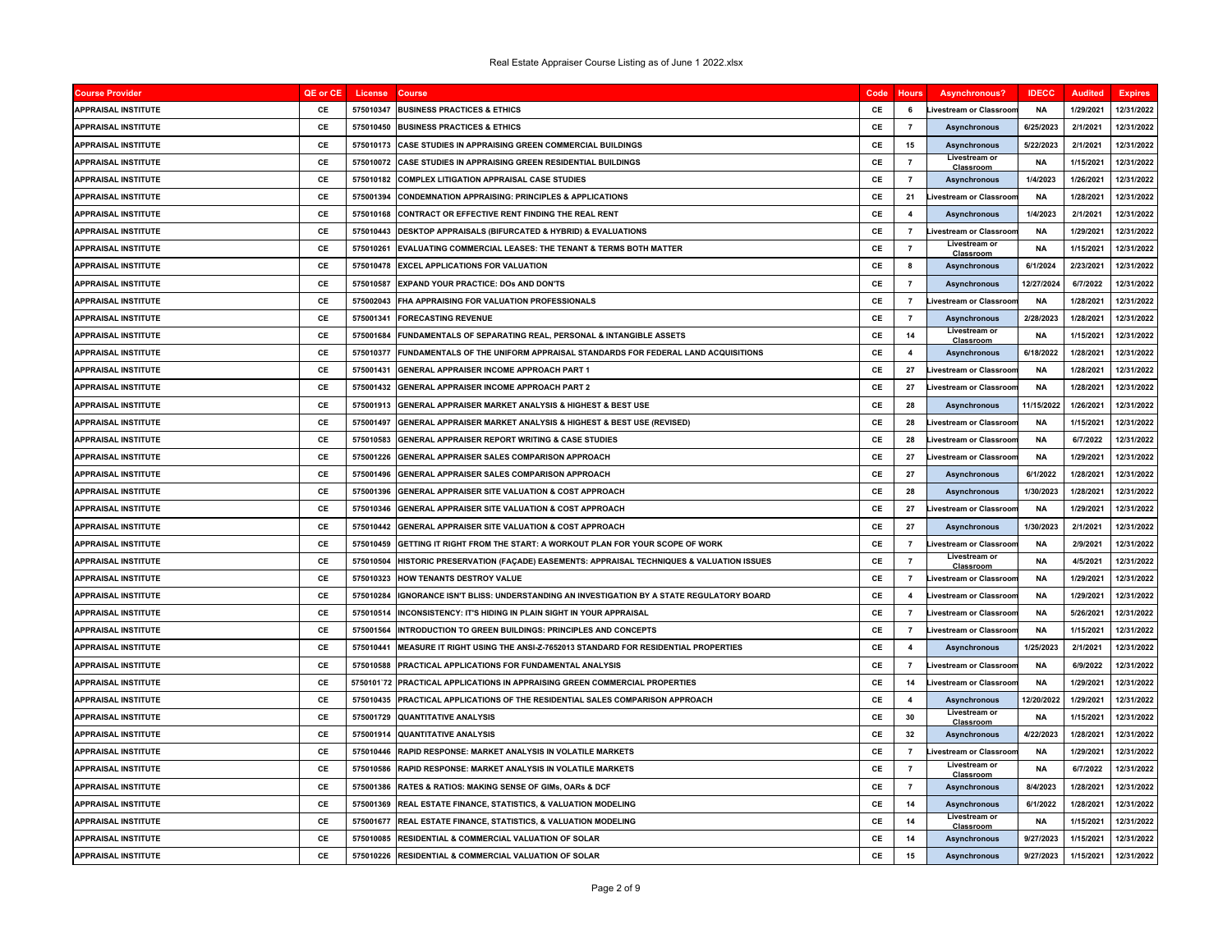| <b>Course Provider</b>     | QE or CE  | License   | <b>Course</b>                                                                        | Code | <b>Hours</b>            | <b>Asynchronous?</b>           | <b>IDECC</b> | <b>Audited</b> | <b>Expires</b> |
|----------------------------|-----------|-----------|--------------------------------------------------------------------------------------|------|-------------------------|--------------------------------|--------------|----------------|----------------|
| <b>APPRAISAL INSTITUTE</b> | CE        | 575010347 | <b>BUSINESS PRACTICES &amp; ETHICS</b>                                               | CE   | 6                       | ivestream or Classroon         | <b>NA</b>    | 1/29/2021      | 12/31/2022     |
| <b>APPRAISAL INSTITUTE</b> | CE        | 575010450 | <b>BUSINESS PRACTICES &amp; ETHICS</b>                                               | CE   | $\overline{7}$          | <b>Asynchronous</b>            | 6/25/2023    | 2/1/2021       | 12/31/2022     |
| <b>APPRAISAL INSTITUTE</b> | CE        | 575010173 | <b>CASE STUDIES IN APPRAISING GREEN COMMERCIAL BUILDINGS</b>                         | CE   | 15                      | <b>Asynchronous</b>            | 5/22/2023    | 2/1/2021       | 12/31/2022     |
| <b>APPRAISAL INSTITUTE</b> | <b>CE</b> | 575010072 | CASE STUDIES IN APPRAISING GREEN RESIDENTIAL BUILDINGS                               | CE   | $\overline{7}$          | Livestream or<br>Classroon     | <b>NA</b>    | 1/15/2021      | 12/31/2022     |
| <b>APPRAISAL INSTITUTE</b> | CE        | 575010182 | <b>COMPLEX LITIGATION APPRAISAL CASE STUDIES</b>                                     | CE   | $\overline{7}$          | <b>Asynchronous</b>            | 1/4/2023     | 1/26/2021      | 12/31/2022     |
| <b>APPRAISAL INSTITUTE</b> | C.F       | 575001394 | <b>CONDEMNATION APPRAISING: PRINCIPLES &amp; APPLICATIONS</b>                        | C.F  | 21                      | ivestream or Classroor         | <b>NA</b>    | 1/28/2021      | 12/31/2022     |
| <b>APPRAISAL INSTITUTE</b> | CE        | 575010168 | CONTRACT OR EFFECTIVE RENT FINDING THE REAL RENT                                     | CE   | $\overline{\mathbf{4}}$ | <b>Asynchronous</b>            | 1/4/2023     | 2/1/2021       | 12/31/2022     |
| <b>APPRAISAL INSTITUTE</b> | CE        | 575010443 | DESKTOP APPRAISALS (BIFURCATED & HYBRID) & EVALUATIONS                               | CE   | $\overline{7}$          | Livestream or Classroor        | <b>NA</b>    | 1/29/2021      | 12/31/2022     |
| <b>APPRAISAL INSTITUTE</b> | CE        | 575010261 | EVALUATING COMMERCIAL LEASES: THE TENANT & TERMS BOTH MATTER                         | CE   | $\overline{7}$          | Livestream or<br>Classroom     | <b>NA</b>    | 1/15/2021      | 12/31/2022     |
| <b>APPRAISAL INSTITUTE</b> | <b>CE</b> | 575010478 | <b>EXCEL APPLICATIONS FOR VALUATION</b>                                              | CE   | 8                       | <b>Asynchronous</b>            | 6/1/2024     | 2/23/2021      | 12/31/2022     |
| <b>APPRAISAL INSTITUTE</b> | CE        | 575010587 | EXPAND YOUR PRACTICE: DOs AND DON'TS                                                 | CE   | $\overline{7}$          | <b>Asynchronous</b>            | 12/27/2024   | 6/7/2022       | 12/31/2022     |
| <b>APPRAISAL INSTITUTE</b> | CE        |           | 575002043 FHA APPRAISING FOR VALUATION PROFESSIONALS                                 | CE   | $\overline{7}$          | ivestream or Classroor         | <b>NA</b>    | 1/28/2021      | 12/31/2022     |
| <b>APPRAISAL INSTITUTE</b> | CE        | 575001341 | <b>FORECASTING REVENUE</b>                                                           | CE   | $\overline{7}$          | <b>Asynchronous</b>            | 2/28/2023    | 1/28/2021      | 12/31/2022     |
| <b>APPRAISAL INSTITUTE</b> | CE        | 575001684 | FUNDAMENTALS OF SEPARATING REAL, PERSONAL & INTANGIBLE ASSETS                        | CE   | 14                      | Livestream or<br>Classroom     | <b>NA</b>    | 1/15/2021      | 12/31/2022     |
| <b>APPRAISAL INSTITUTE</b> | CE        | 575010377 | <b>FUNDAMENTALS OF THE UNIFORM APPRAISAL STANDARDS FOR FEDERAL LAND ACQUISITIONS</b> | CE   | $\overline{\mathbf{4}}$ | <b>Asynchronous</b>            | 6/18/2022    | 1/28/2021      | 12/31/2022     |
| <b>APPRAISAL INSTITUTE</b> | CE        | 575001431 | GENERAL APPRAISER INCOME APPROACH PART 1                                             | CE   | ${\bf 27}$              | ivestream or Classroon         | <b>NA</b>    | 1/28/2021      | 12/31/2022     |
| <b>APPRAISAL INSTITUTE</b> | CE        | 575001432 | <b>GENERAL APPRAISER INCOME APPROACH PART 2</b>                                      | CE   | 27                      | ivestream or Classroor         | <b>NA</b>    | 1/28/2021      | 12/31/2022     |
| <b>APPRAISAL INSTITUTE</b> | CE        | 575001913 | GENERAL APPRAISER MARKET ANALYSIS & HIGHEST & BEST USE                               | CE   | 28                      | <b>Asynchronous</b>            | 11/15/2022   | 1/26/2021      | 12/31/2022     |
| <b>APPRAISAL INSTITUTE</b> | CE        | 575001497 | GENERAL APPRAISER MARKET ANALYSIS & HIGHEST & BEST USE (REVISED)                     | CE   | 28                      | ivestream or Classroor         | <b>NA</b>    | 1/15/2021      | 12/31/2022     |
| <b>APPRAISAL INSTITUTE</b> | CE        | 575010583 | <b>GENERAL APPRAISER REPORT WRITING &amp; CASE STUDIES</b>                           | CE   | 28                      | ivestream or Classroor         | <b>NA</b>    | 6/7/2022       | 12/31/2022     |
| <b>APPRAISAL INSTITUTE</b> | CE        | 575001226 | GENERAL APPRAISER SALES COMPARISON APPROACH                                          | CE   | 27                      | ivestream or Classroor         | <b>NA</b>    | 1/29/2021      | 12/31/2022     |
| <b>APPRAISAL INSTITUTE</b> | CE        | 575001496 | GENERAL APPRAISER SALES COMPARISON APPROACH                                          | CE   | 27                      | <b>Asynchronous</b>            | 6/1/2022     | 1/28/2021      | 12/31/2022     |
| <b>APPRAISAL INSTITUTE</b> | CE        | 575001396 | <b>GENERAL APPRAISER SITE VALUATION &amp; COST APPROACH</b>                          | CE   | 28                      | <b>Asynchronous</b>            | 1/30/2023    | 1/28/2021      | 12/31/2022     |
| <b>APPRAISAL INSTITUTE</b> | CE        | 575010346 | GENERAL APPRAISER SITE VALUATION & COST APPROACH                                     | CE   | 27                      | ivestream or Classroor         | <b>NA</b>    | 1/29/2021      | 12/31/2022     |
| <b>APPRAISAL INSTITUTE</b> | CE        | 575010442 | GENERAL APPRAISER SITE VALUATION & COST APPROACH                                     | CE   | 27                      | <b>Asynchronous</b>            | 1/30/2023    | 2/1/2021       | 12/31/2022     |
| <b>APPRAISAL INSTITUTE</b> | CE        | 575010459 | GETTING IT RIGHT FROM THE START: A WORKOUT PLAN FOR YOUR SCOPE OF WORK               | CE   | $\overline{7}$          | ivestream or Classroon         | <b>NA</b>    | 2/9/2021       | 12/31/2022     |
| APPRAISAL INSTITUTE        | CE        | 575010504 | HISTORIC PRESERVATION (FAÇADE) EASEMENTS: APPRAISAL TECHNIQUES & VALUATION ISSUES    | CE   | $\overline{7}$          | Livestream or<br>Classroon     | <b>NA</b>    | 4/5/2021       | 12/31/2022     |
| <b>APPRAISAL INSTITUTE</b> | CE        | 575010323 | HOW TENANTS DESTROY VALUE                                                            | CE   | $\overline{7}$          | ivestream or Classroon         | <b>NA</b>    | 1/29/2021      | 12/31/2022     |
| <b>APPRAISAL INSTITUTE</b> | CE        | 575010284 | IGNORANCE ISN'T BLISS: UNDERSTANDING AN INVESTIGATION BY A STATE REGULATORY BOARD    | CE   | $\overline{\mathbf{4}}$ | Livestream or Classroor        | <b>NA</b>    | 1/29/2021      | 12/31/2022     |
| <b>APPRAISAL INSTITUTE</b> | CE        | 575010514 | INCONSISTENCY: IT'S HIDING IN PLAIN SIGHT IN YOUR APPRAISAL                          | CE   | $\overline{7}$          | Livestream or Classroor        | <b>NA</b>    | 5/26/2021      | 12/31/2022     |
| <b>APPRAISAL INSTITUTE</b> | CE        | 575001564 | INTRODUCTION TO GREEN BUILDINGS: PRINCIPLES AND CONCEPTS                             | CE   | $\overline{7}$          | ivestream or Classroon         | <b>NA</b>    | 1/15/2021      | 12/31/2022     |
| <b>APPRAISAL INSTITUTE</b> | CE        | 575010441 | MEASURE IT RIGHT USING THE ANSI-Z-7652013 STANDARD FOR RESIDENTIAL PROPERTIES        | CE   | $\overline{\mathbf{4}}$ | <b>Asynchronous</b>            | 1/25/2023    | 2/1/2021       | 12/31/2022     |
| <b>APPRAISAL INSTITUTE</b> | CE        | 575010588 | PRACTICAL APPLICATIONS FOR FUNDAMENTAL ANALYSIS                                      | CE   | $\overline{7}$          | <b>Livestream or Classroor</b> | <b>NA</b>    | 6/9/2022       | 12/31/2022     |
| <b>APPRAISAL INSTITUTE</b> | CE        |           | 5750101`72 PRACTICAL APPLICATIONS IN APPRAISING GREEN COMMERCIAL PROPERTIES          | CE   | 14                      | ivestream or Classroon         | <b>NA</b>    | 1/29/2021      | 12/31/2022     |
| <b>APPRAISAL INSTITUTE</b> | CE        | 575010435 | PRACTICAL APPLICATIONS OF THE RESIDENTIAL SALES COMPARISON APPROACH                  | CE   | $\overline{\mathbf{4}}$ | <b>Asynchronous</b>            | 12/20/2022   | 1/29/2021      | 12/31/2022     |
| <b>APPRAISAL INSTITUTE</b> | CE        | 575001729 | <b>QUANTITATIVE ANALYSIS</b>                                                         | CE   | 30                      | Livestream or<br>Classroom     | <b>NA</b>    | 1/15/2021      | 12/31/2022     |
| <b>APPRAISAL INSTITUTE</b> | CE        | 575001914 | <b>QUANTITATIVE ANALYSIS</b>                                                         | CE   | 32                      | <b>Asynchronous</b>            | 4/22/2023    | 1/28/2021      | 12/31/2022     |
| <b>APPRAISAL INSTITUTE</b> | CE        | 575010446 | RAPID RESPONSE: MARKET ANALYSIS IN VOLATILE MARKETS                                  | CE   | $\overline{7}$          | Livestream or Classroon        | <b>NA</b>    | 1/29/2021      | 12/31/2022     |
| <b>APPRAISAL INSTITUTE</b> | CE        | 575010586 | <b>RAPID RESPONSE: MARKET ANALYSIS IN VOLATILE MARKETS</b>                           | C.F  | $\overline{7}$          | Livestream or<br>Classroom     | <b>NA</b>    | 6/7/2022       | 12/31/2022     |
| <b>APPRAISAL INSTITUTE</b> | CE        | 575001386 | RATES & RATIOS: MAKING SENSE OF GIMs, OARs & DCF                                     | CE   | $\overline{7}$          | <b>Asynchronous</b>            | 8/4/2023     | 1/28/2021      | 12/31/2022     |
| <b>APPRAISAL INSTITUTE</b> | CE        | 575001369 | <b>IREAL ESTATE FINANCE. STATISTICS. &amp; VALUATION MODELING</b>                    | CE   | 14                      | <b>Asynchronous</b>            | 6/1/2022     | 1/28/2021      | 12/31/2022     |
| <b>APPRAISAL INSTITUTE</b> | CE        | 575001677 | REAL ESTATE FINANCE, STATISTICS, & VALUATION MODELING                                | CE   | 14                      | Livestream or<br>Classroon     | <b>NA</b>    | 1/15/2021      | 12/31/2022     |
| <b>APPRAISAL INSTITUTE</b> | CE        | 575010085 | RESIDENTIAL & COMMERCIAL VALUATION OF SOLAR                                          | CE   | 14                      | <b>Asynchronous</b>            | 9/27/2023    | 1/15/2021      | 12/31/2022     |
| <b>APPRAISAL INSTITUTE</b> | CE        |           | 575010226 RESIDENTIAL & COMMERCIAL VALUATION OF SOLAR                                | CE   | 15                      | <b>Asynchronous</b>            | 9/27/2023    | 1/15/2021      | 12/31/2022     |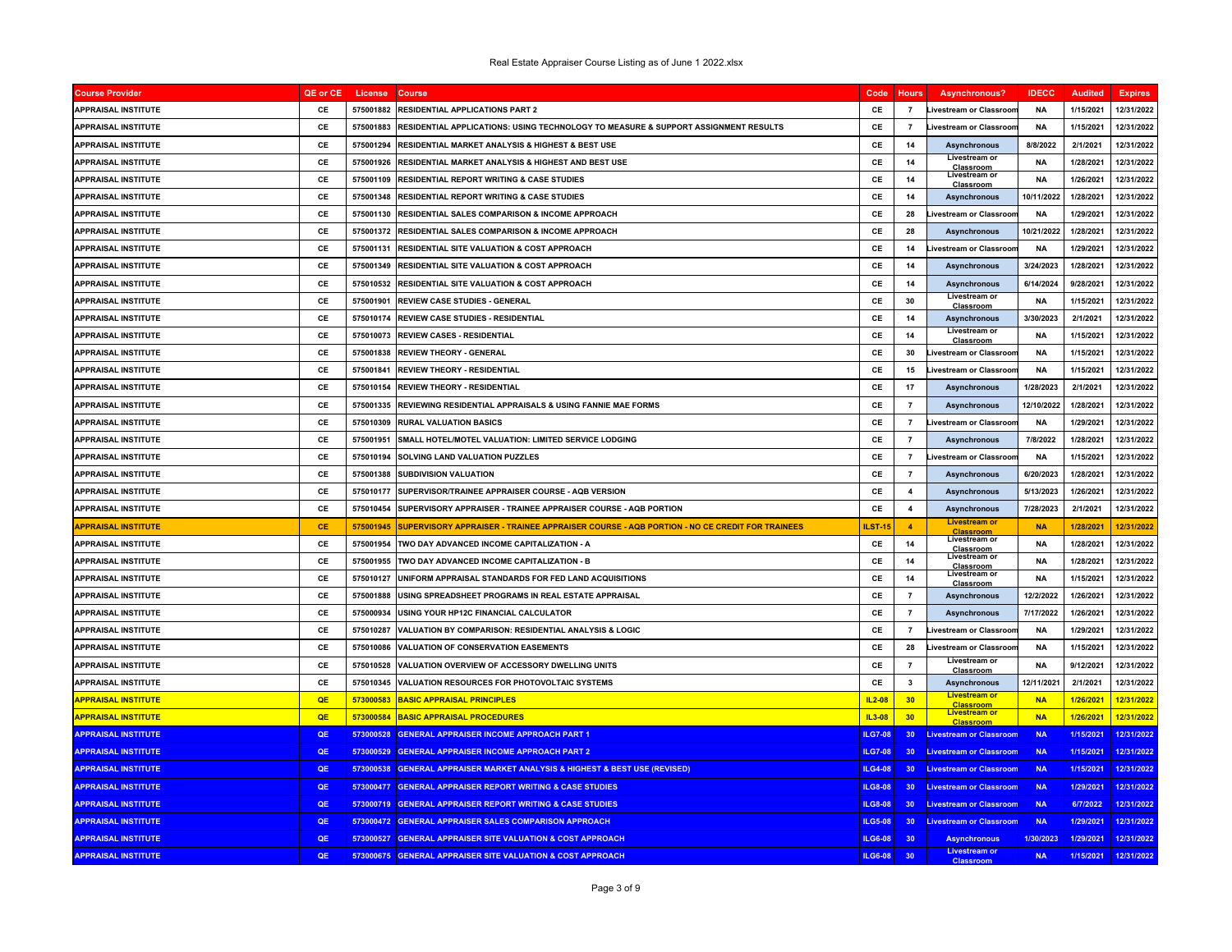| <b>Course Provider</b>     | QE or CE  | License   | <b>Course</b>                                                                              | Code           | <b>Hours</b>    | <b>Asynchronous?</b>                     | <b>IDECC</b> | <b>Audited</b> | <b>Expires</b> |
|----------------------------|-----------|-----------|--------------------------------------------------------------------------------------------|----------------|-----------------|------------------------------------------|--------------|----------------|----------------|
| <b>APPRAISAL INSTITUTE</b> | CE        | 575001882 | <b>RESIDENTIAL APPLICATIONS PART 2</b>                                                     | CE             | $\overline{7}$  | <b>Livestream or Classroor</b>           | <b>NA</b>    | 1/15/2021      | 12/31/2022     |
| <b>APPRAISAL INSTITUTE</b> | CE        | 575001883 | RESIDENTIAL APPLICATIONS: USING TECHNOLOGY TO MEASURE & SUPPORT ASSIGNMENT RESULTS         | CE             | $\overline{7}$  | ivestream or Classroo                    | <b>NA</b>    | 1/15/2021      | 12/31/2022     |
| <b>APPRAISAL INSTITUTE</b> | CE        | 575001294 | <b>RESIDENTIAL MARKET ANALYSIS &amp; HIGHEST &amp; BEST USE</b>                            | CE             | 14              | <b>Asynchronous</b>                      | 8/8/2022     | 2/1/2021       | 12/31/2022     |
| <b>APPRAISAL INSTITUTE</b> | CE        | 575001926 | RESIDENTIAL MARKET ANALYSIS & HIGHEST AND BEST USE                                         | <b>CE</b>      | 14              | Livestream or<br>Classroom               | <b>NA</b>    | 1/28/2021      | 12/31/2022     |
| <b>APPRAISAL INSTITUTE</b> | CE        | 575001109 | RESIDENTIAL REPORT WRITING & CASE STUDIES                                                  | <b>CE</b>      | 14              | Livestream or<br>Classroom               | <b>NA</b>    | 1/26/2021      | 12/31/2022     |
| <b>APPRAISAL INSTITUTE</b> | CE        | 575001348 | <b>RESIDENTIAL REPORT WRITING &amp; CASE STUDIES</b>                                       | CE             | 14              | <b>Asynchronous</b>                      | 10/11/2022   | 1/28/2021      | 12/31/2022     |
| <b>APPRAISAL INSTITUTE</b> | CE        | 575001130 | RESIDENTIAL SALES COMPARISON & INCOME APPROACH                                             | CE             | 28              | ivestream or Classroo                    | <b>NA</b>    | 1/29/2021      | 12/31/2022     |
| <b>APPRAISAL INSTITUTE</b> | CE        | 575001372 | RESIDENTIAL SALES COMPARISON & INCOME APPROACH                                             | CE             | 28              | <b>Asynchronous</b>                      | 10/21/2022   | 1/28/2021      | 12/31/2022     |
| <b>APPRAISAL INSTITUTE</b> | CE        | 575001131 | <b>RESIDENTIAL SITE VALUATION &amp; COST APPROACH</b>                                      | CE             | 14              | ivestream or Classroor                   | <b>NA</b>    | 1/29/2021      | 12/31/2022     |
| <b>APPRAISAL INSTITUTE</b> | CE        | 575001349 | RESIDENTIAL SITE VALUATION & COST APPROACH                                                 | CE             | 14              | <b>Asynchronous</b>                      | 3/24/2023    | 1/28/2021      | 12/31/2022     |
| <b>APPRAISAL INSTITUTE</b> | <b>CE</b> | 575010532 | RESIDENTIAL SITE VALUATION & COST APPROACH                                                 | CE             | 14              | <b>Asynchronous</b>                      | 6/14/2024    | 9/28/2021      | 12/31/2022     |
| <b>APPRAISAL INSTITUTE</b> | CE        | 575001901 | <b>REVIEW CASE STUDIES - GENERAL</b>                                                       | CE             | 30              | Livestream or<br>Classroom               | <b>NA</b>    | 1/15/2021      | 12/31/2022     |
| <b>APPRAISAL INSTITUTE</b> | CE        | 575010174 | <b>REVIEW CASE STUDIES - RESIDENTIAL</b>                                                   | CE             | 14              | <b>Asynchronous</b>                      | 3/30/2023    | 2/1/2021       | 12/31/2022     |
| <b>APPRAISAL INSTITUTE</b> | C.F       | 575010073 | <b>REVIEW CASES - RESIDENTIAL</b>                                                          | CF.            | 14              | Livestream or<br>Classroom               | <b>NA</b>    | 1/15/2021      | 12/31/2022     |
| <b>APPRAISAL INSTITUTE</b> | CE        | 575001838 | <b>REVIEW THEORY - GENERAL</b>                                                             | CE             | 30              | Livestream or Classroor                  | <b>NA</b>    | 1/15/2021      | 12/31/2022     |
| <b>APPRAISAL INSTITUTE</b> | CE        | 575001841 | <b>REVIEW THEORY - RESIDENTIAL</b>                                                         | CE             | 15              | <b>Livestream or Classroor</b>           | <b>NA</b>    | 1/15/2021      | 12/31/2022     |
| <b>APPRAISAL INSTITUTE</b> | CE        | 575010154 | <b>REVIEW THEORY - RESIDENTIAL</b>                                                         | CE             | 17              | <b>Asynchronous</b>                      | 1/28/2023    | 2/1/2021       | 12/31/2022     |
| <b>APPRAISAL INSTITUTE</b> | CE        | 575001335 | REVIEWING RESIDENTIAL APPRAISALS & USING FANNIE MAE FORMS                                  | CE             | $\overline{7}$  | <b>Asynchronous</b>                      | 12/10/2022   | 1/28/2021      | 12/31/2022     |
| <b>APPRAISAL INSTITUTE</b> | CE        | 575010309 | <b>RURAL VALUATION BASICS</b>                                                              | CE             | $\overline{7}$  | <b>Livestream or Classroor</b>           | ΝA           | 1/29/2021      | 12/31/2022     |
| <b>APPRAISAL INSTITUTE</b> | <b>CE</b> | 575001951 | SMALL HOTEL/MOTEL VALUATION: LIMITED SERVICE LODGING                                       | CE             | $\overline{7}$  | <b>Asynchronous</b>                      | 7/8/2022     | 1/28/2021      | 12/31/2022     |
| <b>APPRAISAL INSTITUTE</b> | CE        | 575010194 | SOLVING LAND VALUATION PUZZLES                                                             | CE             | $\overline{7}$  | ivestream or Classroor                   | <b>NA</b>    | 1/15/2021      | 12/31/2022     |
| <b>APPRAISAL INSTITUTE</b> | CE        | 575001388 | <b>SUBDIVISION VALUATION</b>                                                               | CE             | $\overline{7}$  | Asynchronous                             | 6/20/2023    | 1/28/2021      | 12/31/2022     |
| <b>APPRAISAL INSTITUTE</b> | CE        | 575010177 | SUPERVISOR/TRAINEE APPRAISER COURSE - AQB VERSION                                          | CE             | $\overline{4}$  | <b>Asynchronous</b>                      | 5/13/2023    | 1/26/2021      | 12/31/2022     |
| <b>APPRAISAL INSTITUTE</b> | CE        | 575010454 | SUPERVISORY APPRAISER - TRAINEE APPRAISER COURSE - AQB PORTION                             | CE             | $\overline{4}$  | <b>Asynchronous</b>                      | 7/28/2023    | 2/1/2021       | 12/31/2022     |
| <b>APPRAISAL INSTITUTE</b> | <b>CE</b> | 575001945 | SUPERVISORY APPRAISER - TRAINEE APPRAISER COURSE - AQB PORTION - NO CE CREDIT FOR TRAINEES | ILST-1         | $\overline{4}$  | <b>Livestream or</b><br>Classroom        | <b>NA</b>    | 1/28/202'      | 12/31/2022     |
| <b>APPRAISAL INSTITUTE</b> | CE        | 575001954 | TWO DAY ADVANCED INCOME CAPITALIZATION - A                                                 | CE             | 14              | Livestream or<br>Classroom               | <b>NA</b>    | 1/28/2021      | 12/31/2022     |
| <b>APPRAISAL INSTITUTE</b> | CE        | 575001955 | TWO DAY ADVANCED INCOME CAPITALIZATION - B                                                 | CE             | 14              | Livestream or<br>Classroom               | <b>NA</b>    | 1/28/2021      | 12/31/2022     |
| <b>APPRAISAL INSTITUTE</b> | CE        | 575010127 | UNIFORM APPRAISAL STANDARDS FOR FED LAND ACQUISITIONS                                      | CE             | 14              | Livestream or<br>Classroom               | <b>NA</b>    | 1/15/2021      | 12/31/2022     |
| <b>APPRAISAL INSTITUTE</b> | CE        | 575001888 | USING SPREADSHEET PROGRAMS IN REAL ESTATE APPRAISAL                                        | CE             | $\overline{7}$  | <b>Asynchronous</b>                      | 12/2/2022    | 1/26/2021      | 12/31/2022     |
| <b>APPRAISAL INSTITUTE</b> | CE        | 575000934 | USING YOUR HP12C FINANCIAL CALCULATOR                                                      | CE             | $\overline{7}$  | <b>Asynchronous</b>                      | 7/17/2022    | 1/26/2021      | 12/31/2022     |
| <b>APPRAISAL INSTITUTE</b> | CE        | 575010287 | <b>VALUATION BY COMPARISON: RESIDENTIAL ANALYSIS &amp; LOGIC</b>                           | CE             | $\overline{7}$  | <b>Livestream or Classroor</b>           | <b>NA</b>    | 1/29/2021      | 12/31/2022     |
| <b>APPRAISAL INSTITUTE</b> | CE        | 575010086 | <b>VALUATION OF CONSERVATION EASEMENTS</b>                                                 | CE             | 28              | Livestream or Classroor                  | <b>NA</b>    | 1/15/2021      | 12/31/2022     |
| <b>APPRAISAL INSTITUTE</b> | CE        | 575010528 | VALUATION OVERVIEW OF ACCESSORY DWELLING UNITS                                             | CE             | $\overline{7}$  | Livestream or<br>Classroom               | <b>NA</b>    | 9/12/2021      | 12/31/2022     |
| <b>APPRAISAL INSTITUTE</b> | CE        | 575010345 | VALUATION RESOURCES FOR PHOTOVOLTAIC SYSTEMS                                               | CE             | $\mathbf{3}$    | <b>Asynchronous</b>                      | 12/11/2021   | 2/1/2021       | 12/31/2022     |
| <b>APPRAISAL INSTITUTE</b> | QE        | 573000583 | <b>BASIC APPRAISAL PRINCIPLES</b>                                                          | $IL2-08$       | 30              | <b>Livestream or</b><br><b>Classroom</b> | <b>NA</b>    | 1/26/2021      | 12/31/2022     |
| <b>APPRAISAL INSTITUTE</b> | QE        | 573000584 | <b>BASIC APPRAISAL PROCEDURES</b>                                                          | IL3-08         | 30              | <b>Livestream or</b><br><b>Classroom</b> | <b>NA</b>    | 1/26/2021      | 12/31/2022     |
| <b>APPRAISAL INSTITUTE</b> | QE        | 573000528 | <b>GENERAL APPRAISER INCOME APPROACH PART 1</b>                                            | LG7-08         | 30 <sub>2</sub> | <b>ivestream or Classroor</b>            | <b>NA</b>    | 1/15/2021      | 12/31/2022     |
| <b>APPRAISAL INSTITUTE</b> | QE        | 573000529 | <b>GENERAL APPRAISER INCOME APPROACH PART 2</b>                                            | <b>ILG7-08</b> | 30 <sub>1</sub> | <b>Livestream or Classroon</b>           | <b>NA</b>    | 1/15/2021      | 12/31/2022     |
| <b>APPRAISAL INSTITUTE</b> | QE        |           | 573000538 GENERAL APPRAISER MARKET ANALYSIS & HIGHEST & BEST USE (REVISED)                 | <b>ILG4-08</b> | 30 <sup>°</sup> | <b>Livestream or Classroom</b>           | <b>NA</b>    | 1/15/2021      | 12/31/2022     |
| <b>APPRAISAL INSTITUTE</b> | QE        | 573000477 | <b>GENERAL APPRAISER REPORT WRITING &amp; CASE STUDIES</b>                                 | LG8-08         | 30 <sub>2</sub> | <b>Livestream or Classroon</b>           | <b>NA</b>    | 1/29/2021      | 12/31/2022     |
| <b>APPRAISAL INSTITUTE</b> | QE        |           | 573000719 GENERAL APPRAISER REPORT WRITING & CASE STUDIES                                  | <b>ILG8-08</b> | 30 <sup>°</sup> | <b>Livestream or Classroom</b>           | <b>NA</b>    | 6/7/2022       | 12/31/2022     |
| <b>APPRAISAL INSTITUTE</b> | QE        | 573000472 | <b>GENERAL APPRAISER SALES COMPARISON APPROACH</b>                                         | <b>ILG5-08</b> | 30 <sup>°</sup> | <b>Livestream or Classroom</b>           | <b>NA</b>    | 1/29/2021      | 12/31/2022     |
| <b>APPRAISAL INSTITUTE</b> | QE        | 573000527 | <b>GENERAL APPRAISER SITE VALUATION &amp; COST APPROACH</b>                                | <b>ILG6-08</b> | 30              | <b>Asynchronous</b>                      | 1/30/2023    | 1/29/2021      | 12/31/2022     |
| <b>APPRAISAL INSTITUTE</b> | QE        |           | 573000675 GENERAL APPRAISER SITE VALUATION & COST APPROACH                                 | <b>ILG6-08</b> | 30 <sup>°</sup> | <b>Livestream or</b><br><b>Classroom</b> | <b>NA</b>    | 1/15/2021      | 12/31/2022     |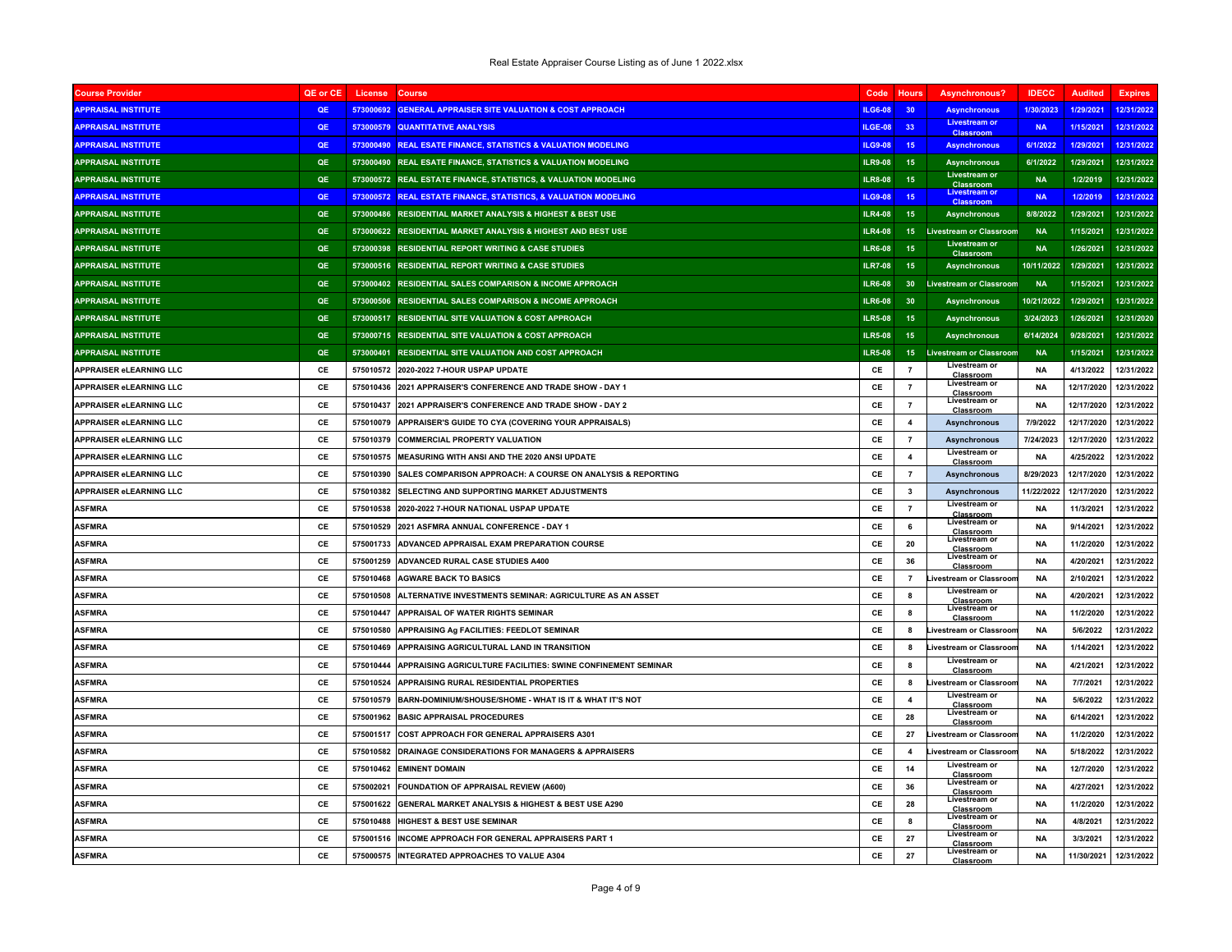| <b>Course Provider</b>         | QE or CE  | License   | Course                                                           | Code           | <b>Hours</b>            | Asynchronous?                            | <b>IDECC</b> | <b>Audited</b> | <b>Expires</b> |
|--------------------------------|-----------|-----------|------------------------------------------------------------------|----------------|-------------------------|------------------------------------------|--------------|----------------|----------------|
| <b>APPRAISAL INSTITUTE</b>     | OE        | 573000692 | <b>GENERAL APPRAISER SITE VALUATION &amp; COST APPROACH</b>      | ILG6-08        | 30 <sup>°</sup>         | <b>Asynchronous</b>                      | 1/30/2023    | 1/29/2021      | 12/31/2022     |
| <b>APPRAISAL INSTITUTE</b>     | QE        | 573000579 | <b>QUANTITATIVE ANALYSIS</b>                                     | ILGE-08        | 33                      | Livestream of<br><b>Classroom</b>        | <b>NA</b>    | 1/15/2021      | 12/31/2022     |
| <b>APPRAISAL INSTITUTE</b>     | <b>OE</b> |           | 573000490 REAL ESATE FINANCE, STATISTICS & VALUATION MODELING    | <b>ILG9-08</b> | 15                      | <b>Asynchronous</b>                      | 6/1/2022     | 1/29/2021      | 12/31/2022     |
| <b>APPRAISAL INSTITUTE</b>     | QE        |           | 573000490 REAL ESATE FINANCE, STATISTICS & VALUATION MODELING    | <b>ILR9-08</b> | 15                      | <b>Asynchronous</b>                      | 6/1/2022     | 1/29/2021      | 12/31/2022     |
| <b>APPRAISAL INSTITUTE</b>     | QE        |           | 573000572 REAL ESTATE FINANCE, STATISTICS, & VALUATION MODELING  | <b>ILR8-08</b> | 15                      | <b>Livestream or</b><br>Classroom        | <b>NA</b>    | 1/2/2019       | 12/31/2022     |
| <b>APPRAISAL INSTITUTE</b>     | OE        | 573000572 | <b>REAL ESTATE FINANCE, STATISTICS, &amp; VALUATION MODELING</b> | <b>ILG9-08</b> | 15 <sub>1</sub>         | Livestream or<br><b>Classroom</b>        | <b>NA</b>    | 1/2/2019       | 12/31/2022     |
| <b>APPRAISAL INSTITUTE</b>     | QE        |           | 573000486 RESIDENTIAL MARKET ANALYSIS & HIGHEST & BEST USE       | <b>ILR4-08</b> | 15                      | <b>Asynchronous</b>                      | 8/8/2022     | 1/29/2021      | 12/31/2022     |
| <b>APPRAISAL INSTITUTE</b>     | QE        |           | 573000622 RESIDENTIAL MARKET ANALYSIS & HIGHEST AND BEST USE     | <b>ILR4-08</b> | 15 <sub>1</sub>         | <b>Livestream or Classroom</b>           | <b>NA</b>    | 1/15/2021      | 12/31/2022     |
| <b>APPRAISAL INSTITUTE</b>     | QE        |           | 573000398 RESIDENTIAL REPORT WRITING & CASE STUDIES              | <b>ILR6-08</b> | 15                      | <b>Livestream or</b><br><b>Classroom</b> | <b>NA</b>    | 1/26/2021      | 12/31/2022     |
| <b>APPRAISAL INSTITUTE</b>     | QE        |           | 573000516 RESIDENTIAL REPORT WRITING & CASE STUDIES              | <b>ILR7-08</b> | 15                      | <b>Asynchronous</b>                      | 10/11/2022   | 1/29/2021      | 12/31/2022     |
| <b>APPRAISAL INSTITUTE</b>     | QE        |           | 573000402 RESIDENTIAL SALES COMPARISON & INCOME APPROACH         | <b>ILR6-08</b> | 30 <sub>o</sub>         | <b>Livestream or Classroom</b>           | <b>NA</b>    | 1/15/2021      | 12/31/2022     |
| <b>APPRAISAL INSTITUTE</b>     | QE        |           | 573000506 RESIDENTIAL SALES COMPARISON & INCOME APPROACH         | <b>ILR6-08</b> | 30                      | Asynchronous                             | 10/21/2022   | 1/29/2021      | 12/31/2022     |
| <b>APPRAISAL INSTITUTE</b>     | QE        |           | 573000517 RESIDENTIAL SITE VALUATION & COST APPROACH             | <b>ILR5-08</b> | 15                      | <b>Asynchronous</b>                      | 3/24/2023    | 1/26/2021      | 12/31/2020     |
| <b>APPRAISAL INSTITUTE</b>     | QE        |           | 573000715 RESIDENTIAL SITE VALUATION & COST APPROACH             | <b>ILR5-08</b> | 15                      | Asynchronous                             | 6/14/2024    | 9/28/2021      | 12/31/2022     |
| <b>APPRAISAL INSTITUTE</b>     | QE        |           | 573000401 RESIDENTIAL SITE VALUATION AND COST APPROACH           | <b>ILR5-08</b> | 15                      | <b>Livestream or Classroom</b>           | <b>NA</b>    | 1/15/2021      | 12/31/2022     |
| APPRAISER eLEARNING LLC        | CE        | 575010572 | 2020-2022 7-HOUR USPAP UPDATE                                    | CE             | $\overline{7}$          | Livestream or<br>Classroom               | <b>NA</b>    | 4/13/2022      | 12/31/2022     |
| APPRAISER eLEARNING LLC        | C.F       | 575010436 | 2021 APPRAISER'S CONFERENCE AND TRADE SHOW - DAY 1               | <b>CF</b>      | $\overline{7}$          | Livestream or<br>Classroom               | <b>NA</b>    | 12/17/2020     | 12/31/2022     |
| APPRAISER eLEARNING LLC        | CE        | 575010437 | 2021 APPRAISER'S CONFERENCE AND TRADE SHOW - DAY 2               | CE             | $\overline{7}$          | Livestream or<br>Classroom               | <b>NA</b>    | 12/17/2020     | 12/31/2022     |
| APPRAISER eLEARNING LLC        | CE        | 575010079 | APPRAISER'S GUIDE TO CYA (COVERING YOUR APPRAISALS)              | CE             | $\overline{\mathbf{4}}$ | <b>Asynchronous</b>                      | 7/9/2022     | 12/17/2020     | 12/31/2022     |
| <b>APPRAISER eLEARNING LLC</b> | CE        | 575010379 | <b>COMMERCIAL PROPERTY VALUATION</b>                             | CE             | $\overline{7}$          | <b>Asynchronous</b>                      | 7/24/2023    | 12/17/2020     | 12/31/2022     |
| APPRAISER eLEARNING LLC        | CE        | 575010575 | MEASURING WITH ANSI AND THE 2020 ANSI UPDATE                     | CE             | $\overline{4}$          | Livestream or<br>Classroom               | <b>NA</b>    | 4/25/2022      | 12/31/2022     |
| APPRAISER eLEARNING LLC        | <b>CE</b> | 575010390 | SALES COMPARISON APPROACH: A COURSE ON ANALYSIS & REPORTING      | CE             | $\overline{7}$          | <b>Asynchronous</b>                      | 8/29/2023    | 12/17/2020     | 12/31/2022     |
| <b>APPRAISER eLEARNING LLC</b> | CE        | 575010382 | SELECTING AND SUPPORTING MARKET ADJUSTMENTS                      | CE             | $\overline{\mathbf{3}}$ | <b>Asynchronous</b>                      | 11/22/2022   | 12/17/2020     | 12/31/2022     |
| <b>ASFMRA</b>                  | CE        | 575010538 | 2020-2022 7-HOUR NATIONAL USPAP UPDATE                           | CE             | $\overline{7}$          | Livestream or<br>Classroom               | <b>NA</b>    | 11/3/2021      | 12/31/2022     |
| <b>ASFMRA</b>                  | C.F       | 575010529 | 2021 ASFMRA ANNUAL CONFERENCE - DAY 1                            | CE             | 6                       | Livestream or<br>Classroom               | <b>NA</b>    | 9/14/2021      | 12/31/2022     |
| <b>ASFMRA</b>                  | CE        | 575001733 | ADVANCED APPRAISAL EXAM PREPARATION COURSE                       | CE             | 20                      | Livestream or<br>Classroom               | <b>NA</b>    | 11/2/2020      | 12/31/2022     |
| <b>ASFMRA</b>                  | CE        | 575001259 | ADVANCED RURAL CASE STUDIES A400                                 | CE             | 36                      | Livestream o<br>Classroom                | <b>NA</b>    | 4/20/2021      | 12/31/2022     |
| <b>ASFMRA</b>                  | CE        | 575010468 | <b>AGWARE BACK TO BASICS</b>                                     | CE             | $\overline{7}$          | ivestream or Classroor                   | <b>NA</b>    | 2/10/2021      | 12/31/2022     |
| <b>ASFMRA</b>                  | CE        | 575010508 | ALTERNATIVE INVESTMENTS SEMINAR: AGRICULTURE AS AN ASSET         | CE             | 8                       | <b>Livestream or</b><br>Classroom        | <b>NA</b>    | 4/20/2021      | 12/31/2022     |
| <b>ASFMRA</b>                  | CE        | 575010447 | APPRAISAL OF WATER RIGHTS SEMINAR                                | CE             | 8                       | Livestream or<br>Classroo                | <b>NA</b>    | 11/2/2020      | 12/31/2022     |
| <b>ASFMRA</b>                  | CE        | 575010580 | APPRAISING Ag FACILITIES: FEEDLOT SEMINAR                        | CE             | -8                      | ivestream or Classroor                   | <b>NA</b>    | 5/6/2022       | 12/31/2022     |
| <b>ASFMRA</b>                  | CE        | 575010469 | APPRAISING AGRICULTURAL LAND IN TRANSITION                       | CE             | 8                       | <b>Livestream or Classroor</b>           | <b>NA</b>    | 1/14/2021      | 12/31/2022     |
| <b>ASFMRA</b>                  | CE        | 575010444 | APPRAISING AGRICULTURE FACILITIES: SWINE CONFINEMENT SEMINAR     | CE             | 8                       | Livestream or<br>Classroot               | <b>NA</b>    | 4/21/2021      | 12/31/2022     |
| <b>ASFMRA</b>                  | CE        | 575010524 | APPRAISING RURAL RESIDENTIAL PROPERTIES                          | CE             | 8                       | Livestream or Classroor                  | <b>NA</b>    | 7/7/2021       | 12/31/2022     |
| <b>ASFMRA</b>                  | CE        | 575010579 | BARN-DOMINIUM/SHOUSE/SHOME - WHAT IS IT & WHAT IT'S NOT          | CE             | $\overline{\mathbf{4}}$ | Livestream or<br>Classroom               | <b>NA</b>    | 5/6/2022       | 12/31/2022     |
| <b>ASFMRA</b>                  | CE        | 575001962 | <b>BASIC APPRAISAL PROCEDURES</b>                                | CF.            | 28                      | Livestream or<br>Classroom               | <b>NA</b>    | 6/14/2021      | 12/31/2022     |
| <b>ASFMRA</b>                  | CE        | 575001517 | COST APPROACH FOR GENERAL APPRAISERS A301                        | CE             | 27                      | ivestream or Classroor                   | <b>NA</b>    | 11/2/2020      | 12/31/2022     |
| <b>ASFMRA</b>                  | <b>CE</b> | 575010582 | DRAINAGE CONSIDERATIONS FOR MANAGERS & APPRAISERS                | CE             | $\overline{\mathbf{4}}$ | <b>Livestream or Classroor</b>           | <b>NA</b>    | 5/18/2022      | 12/31/2022     |
| <b>ASFMRA</b>                  | CE        | 575010462 | <b>EMINENT DOMAIN</b>                                            | CE             | 14                      | Livestream of<br>Classroom               | <b>NA</b>    | 12/7/2020      | 12/31/2022     |
| <b>ASFMRA</b>                  | CE        | 575002021 | FOUNDATION OF APPRAISAL REVIEW (A600)                            | CE             | 36                      | Livestream o<br>Classroom                | <b>NA</b>    | 4/27/2021      | 12/31/2022     |
| <b>ASFMRA</b>                  | CE        | 575001622 | GENERAL MARKET ANALYSIS & HIGHEST & BEST USE A290                | CE             | 28                      | Livestream or<br>Classroom               | <b>NA</b>    | 11/2/2020      | 12/31/2022     |
| <b>ASFMRA</b>                  | CE        | 575010488 | <b>HIGHEST &amp; BEST USE SEMINAR</b>                            | CE             | 8                       | Livestream or<br>Classroom               | <b>NA</b>    | 4/8/2021       | 12/31/2022     |
| <b>ASFMRA</b>                  | CE        | 575001516 | INCOME APPROACH FOR GENERAL APPRAISERS PART 1                    | CE             | 27                      | Livestream or<br>Classroom               | <b>NA</b>    | 3/3/2021       | 12/31/2022     |
| <b>ASFMRA</b>                  | CE        |           | 575000575 INTEGRATED APPROACHES TO VALUE A304                    | CE             | 27                      | Livestream or<br>Classroom               | <b>NA</b>    | 11/30/2021     | 12/31/2022     |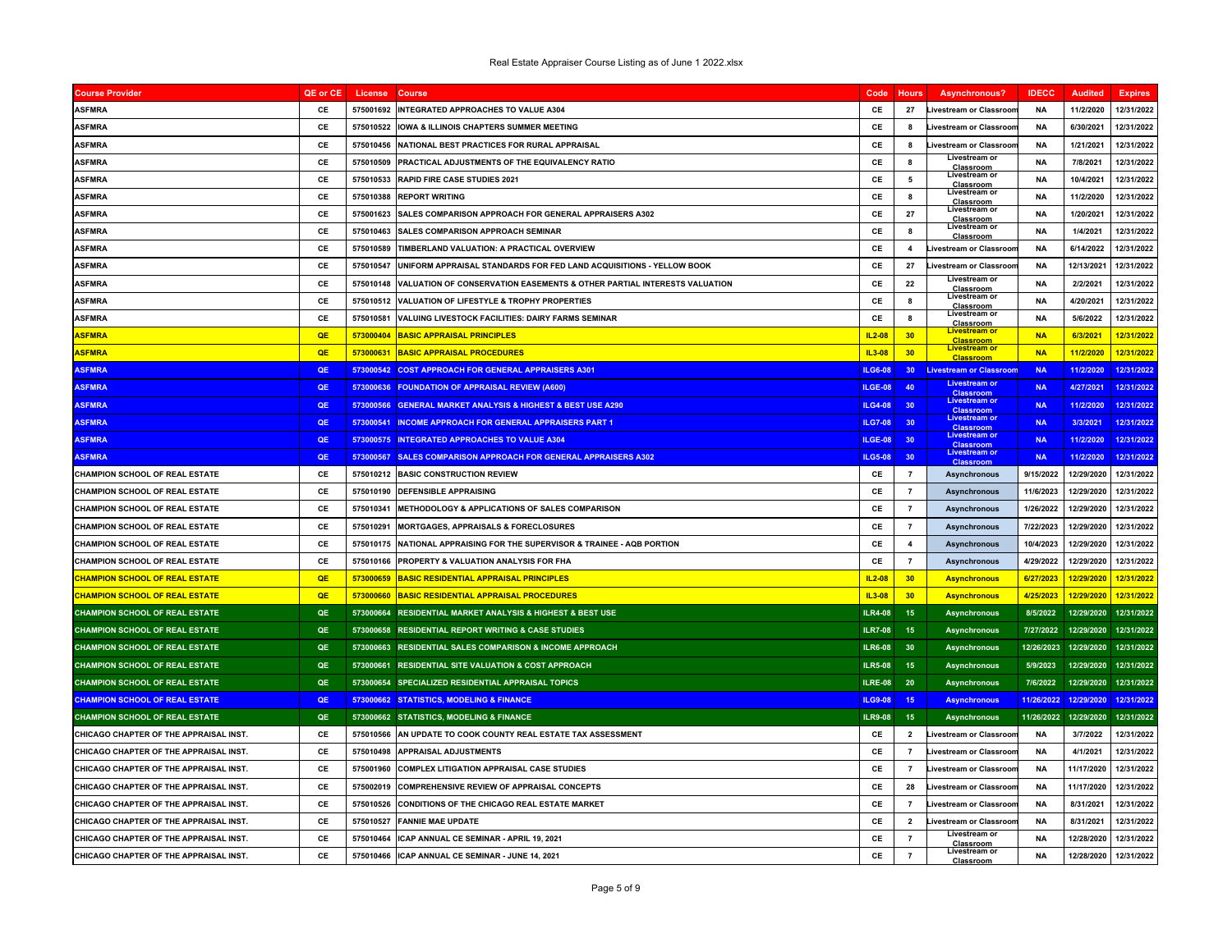| <b>Course Provider</b>                 | QE or CE  | License   | <b>Course</b>                                                             | Code           | <b>Hours</b>        | Asynchronous?                            | <b>IDECC</b> | <b>Audited</b> | <b>Expires</b> |
|----------------------------------------|-----------|-----------|---------------------------------------------------------------------------|----------------|---------------------|------------------------------------------|--------------|----------------|----------------|
| <b>ASFMRA</b>                          | CE        | 575001692 | INTEGRATED APPROACHES TO VALUE A304                                       | CE             | 27                  | Livestream or Classroon                  | <b>NA</b>    | 11/2/2020      | 12/31/2022     |
| <b>ASFMRA</b>                          | CE        | 575010522 | <b>IOWA &amp; ILLINOIS CHAPTERS SUMMER MEETING</b>                        | CE             | 8                   | Livestream or Classroor                  | <b>NA</b>    | 6/30/2021      | 12/31/2022     |
| <b>ASFMRA</b>                          | CE        | 575010456 | NATIONAL BEST PRACTICES FOR RURAL APPRAISAL                               | CE             | 8                   | Livestream or Classroon                  | <b>NA</b>    | 1/21/2021      | 12/31/2022     |
| <b>ASFMRA</b>                          | CE        | 575010509 | PRACTICAL ADJUSTMENTS OF THE EQUIVALENCY RATIO                            | CE             | 8                   | Livestream or<br>Classroom               | <b>NA</b>    | 7/8/2021       | 12/31/2022     |
| <b>ASFMRA</b>                          | CE        | 575010533 | <b>RAPID FIRE CASE STUDIES 2021</b>                                       | CE             | 5                   | Livestream or<br>Classroom               | <b>NA</b>    | 10/4/2021      | 12/31/2022     |
| <b>ASFMRA</b>                          | CE        |           | 575010388 REPORT WRITING                                                  | CE             | 8                   | Livestream or<br>Classroom               | <b>NA</b>    | 11/2/2020      | 12/31/2022     |
| <b>ASFMRA</b>                          | CE        | 575001623 | SALES COMPARISON APPROACH FOR GENERAL APPRAISERS A302                     | CE             | 27                  | Livestream or<br>Classroom               | <b>NA</b>    | 1/20/2021      | 12/31/2022     |
| <b>ASFMRA</b>                          | CE        | 575010463 | <b>SALES COMPARISON APPROACH SEMINAR</b>                                  | CE             | 8                   | Livestream or<br>Classroom               | <b>NA</b>    | 1/4/2021       | 12/31/2022     |
| <b>ASFMRA</b>                          | CE        | 575010589 | TIMBERLAND VALUATION: A PRACTICAL OVERVIEW                                | CE             | $\overline{\bf{4}}$ | Livestream or Classroon                  | <b>NA</b>    | 6/14/2022      | 12/31/2022     |
| <b>ASFMRA</b>                          | CE        | 575010547 | UNIFORM APPRAISAL STANDARDS FOR FED LAND ACQUISITIONS - YELLOW BOOK       | CE             | 27                  | <b>Livestream or Classroon</b>           | <b>NA</b>    | 12/13/2021     | 12/31/2022     |
| <b>ASFMRA</b>                          | CE        | 575010148 | VALUATION OF CONSERVATION EASEMENTS & OTHER PARTIAL INTERESTS VALUATION   | CE             | 22                  | Livestream or<br>Classroom               | <b>NA</b>    | 2/2/2021       | 12/31/2022     |
| <b>ASFMRA</b>                          | CE        | 575010512 | VALUATION OF LIFESTYLE & TROPHY PROPERTIES                                | CE             | 8                   | Livestream or<br>Classroom               | <b>NA</b>    | 4/20/2021      | 12/31/2022     |
| <b>ASFMRA</b>                          | CE        | 575010581 | <b>VALUING LIVESTOCK FACILITIES: DAIRY FARMS SEMINAR</b>                  | CE             | 8                   | Livestream or<br><b>Classroom</b>        | <b>NA</b>    | 5/6/2022       | 12/31/2022     |
| <b>ASFMRA</b>                          | OE        | 573000404 | <b>BASIC APPRAISAL PRINCIPLES</b>                                         | $IL2-08$       | 30                  | Livestream or<br><b>Classroom</b>        | <b>NA</b>    | 6/3/2021       | 12/31/2022     |
| <b>ASFMRA</b>                          | QE        | 573000631 | <b>BASIC APPRAISAL PROCEDURES</b>                                         | IL3-08         | 30                  | Livestream of<br><b>Classroom</b>        | <b>NA</b>    | 11/2/2020      | 12/31/2022     |
| <b>ASFMRA</b>                          | QE        | 573000542 | <b>COST APPROACH FOR GENERAL APPRAISERS A301</b>                          | ILG6-08        | 30 <sub>2</sub>     | <b>Livestream or Classroon</b>           | <b>NA</b>    | 11/2/2020      | 12/31/2022     |
| <b>ASFMRA</b>                          | OE        | 573000636 | <b>FOUNDATION OF APPRAISAL REVIEW (A600)</b>                              | ILGE-08        | 40                  | Livestream or<br><b>Classroom</b>        | <b>NA</b>    | 4/27/2021      | 12/31/2022     |
| <b>ASFMRA</b>                          | QE        | 573000566 | <b>GENERAL MARKET ANALYSIS &amp; HIGHEST &amp; BEST USE A290</b>          | <b>ILG4-08</b> | 30                  | Livestream o<br>Classroom                | <b>NA</b>    | 11/2/2020      | 12/31/2022     |
| <b>ASFMRA</b>                          | QE        | 573000541 | INCOME APPROACH FOR GENERAL APPRAISERS PART 1                             | <b>ILG7-08</b> | 30                  | <b>Livestream or</b><br><b>Classroom</b> | <b>NA</b>    | 3/3/2021       | 12/31/2022     |
| <b>ASFMRA</b>                          | QE        |           | 573000575 INTEGRATED APPROACHES TO VALUE A304                             | ILGE-08        | 30                  | <b>Livestream or</b><br><b>Classroom</b> | <b>NA</b>    | 11/2/2020      | 12/31/2022     |
| <b>ASFMRA</b>                          | OF        | 573000567 | <b>SALES COMPARISON APPROACH FOR GENERAL APPRAISERS A302</b>              | <b>ILG5-08</b> | 30 <sub>2</sub>     | Livestream or<br>Classer                 | <b>NA</b>    | 11/2/2020      | 12/31/2022     |
| <b>CHAMPION SCHOOL OF REAL ESTATE</b>  | CE        |           | 575010212 BASIC CONSTRUCTION REVIEW                                       | CE             | $\overline{7}$      | Asynchronous                             | 9/15/2022    | 12/29/2020     | 12/31/2022     |
| <b>CHAMPION SCHOOL OF REAL ESTATE</b>  | CE        | 575010190 | <b>DEFENSIBLE APPRAISING</b>                                              | CE             | $\overline{7}$      | Asynchronous                             | 11/6/2023    | 12/29/2020     | 12/31/2022     |
| <b>CHAMPION SCHOOL OF REAL ESTATE</b>  | CE        | 575010341 | <b>METHODOLOGY &amp; APPLICATIONS OF SALES COMPARISON</b>                 | CE             | $\overline{7}$      | Asynchronous                             | 1/26/2022    | 12/29/2020     | 12/31/2022     |
| <b>CHAMPION SCHOOL OF REAL ESTATE</b>  | CE        | 575010291 | <b>MORTGAGES, APPRAISALS &amp; FORECLOSURES</b>                           | CE             | $\overline{7}$      | Asynchronous                             | 7/22/2023    | 12/29/2020     | 12/31/2022     |
| <b>CHAMPION SCHOOL OF REAL ESTATE</b>  | CE        |           | 575010175 INATIONAL APPRAISING FOR THE SUPERVISOR & TRAINEE - AQB PORTION | CE             | $\overline{4}$      | <b>Asynchronous</b>                      | 10/4/2023    | 12/29/2020     | 12/31/2022     |
| CHAMPION SCHOOL OF REAL ESTATE         | CE        | 575010166 | PROPERTY & VALUATION ANALYSIS FOR FHA                                     | CE             | $\overline{7}$      | Asynchronous                             | 4/29/2022    | 12/29/2020     | 12/31/2022     |
| <b>CHAMPION SCHOOL OF REAL ESTATE</b>  | QE        | 573000659 | <b>BASIC RESIDENTIAL APPRAISAL PRINCIPLES</b>                             | $IL2-08$       | 30                  | <b>Asynchronous</b>                      | 6/27/2023    | 12/29/2020     | 12/31/2022     |
| <b>CHAMPION SCHOOL OF REAL ESTATE</b>  | <b>OE</b> |           | 573000660 BASIC RESIDENTIAL APPRAISAL PROCEDURES                          | $IL3-08$       | 30                  | <b>Asynchronous</b>                      | 4/25/2023    | 12/29/2020     | 12/31/2022     |
| <b>CHAMPION SCHOOL OF REAL ESTATE</b>  | QE        | 573000664 | <b>RESIDENTIAL MARKET ANALYSIS &amp; HIGHEST &amp; BEST USE</b>           | <b>ILR4-08</b> | 15                  | <b>Asynchronous</b>                      | 8/5/2022     | 12/29/2020     | 12/31/2022     |
| <b>CHAMPION SCHOOL OF REAL ESTATE</b>  | QE        |           | 573000658 RESIDENTIAL REPORT WRITING & CASE STUDIES                       | <b>ILR7-08</b> | 15                  | <b>Asynchronous</b>                      | 7/27/2022    | 12/29/2020     | 12/31/2022     |
| <b>CHAMPION SCHOOL OF REAL ESTATE</b>  | QE        |           | 573000663 RESIDENTIAL SALES COMPARISON & INCOME APPROACH                  | <b>ILR6-08</b> | 30                  | <b>Asynchronous</b>                      | 12/26/2023   | 12/29/2020     | 12/31/2022     |
| CHAMPION SCHOOL OF REAL ESTATE         | QE        | 573000661 | <b>RESIDENTIAL SITE VALUATION &amp; COST APPROACH</b>                     | <b>ILR5-08</b> | 15                  | <b>Asynchronous</b>                      | 5/9/2023     | 12/29/2020     | 12/31/2022     |
| <b>CHAMPION SCHOOL OF REAL ESTATE</b>  | QE        |           | 573000654 SPECIALIZED RESIDENTIAL APPRAISAL TOPICS                        | <b>ILRE-08</b> | 20                  | <b>Asynchronous</b>                      | 7/6/2022     | 12/29/2020     | 12/31/2022     |
| <b>CHAMPION SCHOOL OF REAL ESTATE</b>  | QE        |           | 573000662 STATISTICS, MODELING & FINANCE                                  | <b>ILG9-08</b> | 15                  | <b>Asynchronous</b>                      | 11/26/2022   | 12/29/2020     | 12/31/2022     |
| <b>CHAMPION SCHOOL OF REAL ESTATE</b>  | QE        |           | 573000662 STATISTICS, MODELING & FINANCE                                  | <b>ILR9-08</b> | 15                  | <b>Asynchronous</b>                      | 11/26/2022   | 12/29/2020     | 12/31/2022     |
| CHICAGO CHAPTER OF THE APPRAISAL INST  | <b>CF</b> | 575010566 | AN UPDATE TO COOK COUNTY REAL ESTATE TAX ASSESSMENT                       | CE             | $\overline{2}$      | <b>Livestream or Classroon</b>           | <b>NA</b>    | 3/7/2022       | 12/31/2022     |
| CHICAGO CHAPTER OF THE APPRAISAL INST. | CE        |           | 575010498 APPRAISAL ADJUSTMENTS                                           | CE             | 7                   | <b>Livestream or Classroon</b>           | <b>NA</b>    | 4/1/2021       | 12/31/2022     |
| CHICAGO CHAPTER OF THE APPRAISAL INST. | CE        | 575001960 | <b>COMPLEX LITIGATION APPRAISAL CASE STUDIES</b>                          | CE             | $\overline{7}$      | <b>Livestream or Classroon</b>           | <b>NA</b>    | 11/17/2020     | 12/31/2022     |
| CHICAGO CHAPTER OF THE APPRAISAL INST. | CE        | 575002019 | <b>COMPREHENSIVE REVIEW OF APPRAISAL CONCEPTS</b>                         | CE             | 28                  | Livestream or Classroo                   | <b>NA</b>    | 11/17/2020     | 12/31/2022     |
| CHICAGO CHAPTER OF THE APPRAISAL INST. | CE        | 575010526 | CONDITIONS OF THE CHICAGO REAL ESTATE MARKET                              | CE             | $\overline{7}$      | Livestream or Classroon                  | <b>NA</b>    | 8/31/2021      | 12/31/2022     |
| CHICAGO CHAPTER OF THE APPRAISAL INST. | <b>CE</b> | 575010527 | <b>FANNIE MAE UPDATE</b>                                                  | CE             | $\overline{2}$      | Livestream or Classroon                  | <b>NA</b>    | 8/31/2021      | 12/31/2022     |
| CHICAGO CHAPTER OF THE APPRAISAL INST. | CE        | 575010464 | ICAP ANNUAL CE SEMINAR - APRIL 19, 2021                                   | CE             | $\overline{7}$      | Livestream or<br>Classroom               | <b>NA</b>    | 12/28/2020     | 12/31/2022     |
| CHICAGO CHAPTER OF THE APPRAISAL INST. | CE        |           | 575010466 ICAP ANNUAL CE SEMINAR - JUNE 14, 2021                          | CE             | $\overline{7}$      | Livestream or<br><b>Classroom</b>        | <b>NA</b>    | 12/28/2020     | 12/31/2022     |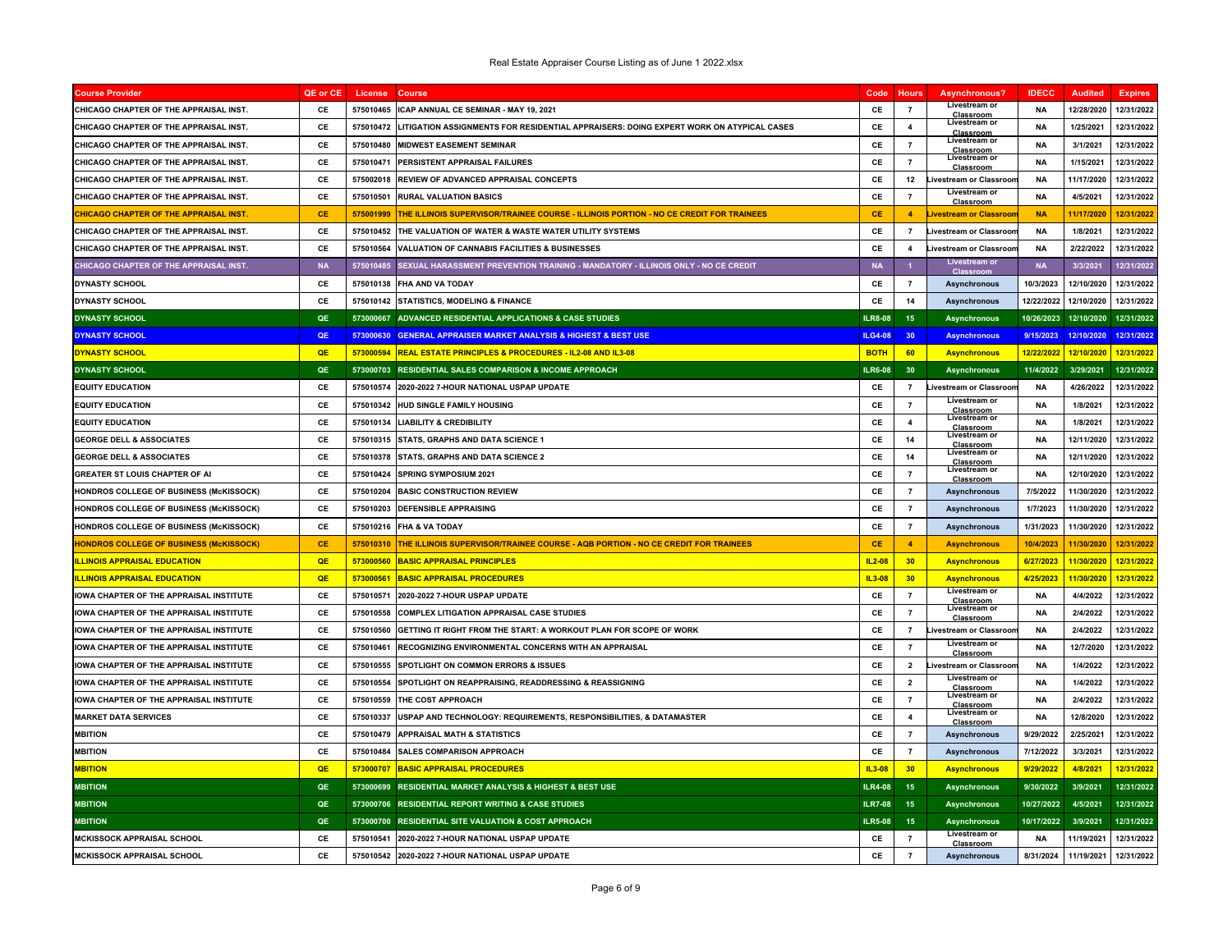| <b>Course Provide</b>                          | QE or CE  | License   | Course                                                                                       | Code           | <b>Hours</b>            | Asynchronous?                              | <b>IDECC</b> | <b>Audited</b> | <b>Expires</b> |
|------------------------------------------------|-----------|-----------|----------------------------------------------------------------------------------------------|----------------|-------------------------|--------------------------------------------|--------------|----------------|----------------|
| CHICAGO CHAPTER OF THE APPRAISAL INST.         | <b>CF</b> | 575010465 | ICAP ANNUAL CE SEMINAR - MAY 19, 2021                                                        | <b>CF</b>      | $\overline{7}$          | Livestream or<br>Classroom                 | NΔ           | 12/28/2020     | 12/31/2022     |
| CHICAGO CHAPTER OF THE APPRAISAL INST.         | CE        | 575010472 | LITIGATION ASSIGNMENTS FOR RESIDENTIAL APPRAISERS: DOING EXPERT WORK ON ATYPICAL CASES       | CE             | 4                       | Livestream or<br><b>Classroom</b>          | <b>NA</b>    | 1/25/2021      | 12/31/2022     |
| CHICAGO CHAPTER OF THE APPRAISAL INST.         | CE        | 575010480 | <b>MIDWEST EASEMENT SEMINAR</b>                                                              | CE             | $\overline{7}$          | Livestream or<br>Classroom                 | <b>NA</b>    | 3/1/2021       | 12/31/2022     |
| CHICAGO CHAPTER OF THE APPRAISAL INST.         | CE        | 575010471 | PERSISTENT APPRAISAL FAILURES                                                                | CE             | $\overline{7}$          | Livestream or<br>Classroom                 | <b>NA</b>    | 1/15/2021      | 12/31/2022     |
| CHICAGO CHAPTER OF THE APPRAISAL INST.         | CE        | 575002018 | REVIEW OF ADVANCED APPRAISAL CONCEPTS                                                        | CE             | 12                      | <b>Livestream or Classroor</b>             | <b>NA</b>    | 11/17/2020     | 12/31/2022     |
| CHICAGO CHAPTER OF THE APPRAISAL INST.         | CE        | 575010501 | <b>RURAL VALUATION BASICS</b>                                                                | CE             | $\overline{7}$          | Livestream or<br>Classroom                 | <b>NA</b>    | 4/5/2021       | 12/31/2022     |
| <b>CHICAGO CHAPTER OF THE APPRAISAL INST</b>   | CE        | 575001999 | <u>THE ILLINOIS SUPERVISOR/TRAINEE COURSE - ILLINOIS PORTION - NO CE CREDIT FOR TRAINEES</u> | <b>CE</b>      | $\overline{4}$          | <b>Livestream or Classroor</b>             | <b>NA</b>    | 11/17/2020     | 12/31/2022     |
| CHICAGO CHAPTER OF THE APPRAISAL INST.         | CE        | 575010452 | THE VALUATION OF WATER & WASTE WATER UTILITY SYSTEMS                                         | CE             | $\overline{7}$          | Livestream or Classroor                    | <b>NA</b>    | 1/8/2021       | 12/31/2022     |
| CHICAGO CHAPTER OF THE APPRAISAL INST.         | <b>CF</b> | 575010564 | <b>VALUATION OF CANNABIS FACILITIES &amp; BUSINESSES</b>                                     | <b>CF</b>      | $\overline{4}$          | Livestream or Classroor                    | <b>NA</b>    | 2/22/2022      | 12/31/2022     |
| <b>CHICAGO CHAPTER OF THE APPRAISAL INST.</b>  | <b>NA</b> | 575010485 | SEXUAL HARASSMENT PREVENTION TRAINING - MANDATORY - ILLINOIS ONLY - NO CE CREDIT             | <b>NA</b>      | $\overline{\mathbf{1}}$ | Livestream o<br>Class                      | <b>NA</b>    | 3/3/2021       | 12/31/2022     |
| <b>DYNASTY SCHOOL</b>                          | CE        | 575010138 | <b>FHA AND VA TODAY</b>                                                                      | CE             | $\overline{7}$          | <b>Asynchronous</b>                        | 10/3/2023    | 12/10/2020     | 12/31/2022     |
| <b>DYNASTY SCHOOL</b>                          | CE        | 575010142 | <b>STATISTICS, MODELING &amp; FINANCE</b>                                                    | CE             | 14                      | Asynchronous                               | 12/22/2022   | 12/10/2020     | 12/31/2022     |
| <b>DYNASTY SCHOOL</b>                          | QE        | 573000667 | ADVANCED RESIDENTIAL APPLICATIONS & CASE STUDIES                                             | <b>ILR8-08</b> | 15                      | <b>Asynchronous</b>                        | 10/26/2023   | 12/10/2020     | 12/31/2022     |
| <b>DYNASTY SCHOOL</b>                          | OF        | 573000630 | <b>GENERAL APPRAISER MARKET ANALYSIS &amp; HIGHEST &amp; BEST USE</b>                        | <b>ILG4-08</b> | 30                      | <b>Asynchronous</b>                        | 9/15/2023    | 12/10/2020     | 12/31/2022     |
| <u>DYNASTY SCHOOL</u>                          | <b>OE</b> |           | 573000594 REAL ESTATE PRINCIPLES & PROCEDURES - IL2-08 AND IL3-08                            | <b>BOTH</b>    | 60                      | <b>Asynchronous</b>                        | 12/22/2022   | 12/10/2020     | 12/31/2022     |
| <b>DYNASTY SCHOOL</b>                          | QE        | 573000703 | <b>RESIDENTIAL SALES COMPARISON &amp; INCOME APPROACH</b>                                    | <b>ILR6-08</b> | 30 <sub>o</sub>         | <b>Asynchronous</b>                        | 11/4/2022    | 3/29/2021      | 12/31/2022     |
| <b>EQUITY EDUCATION</b>                        | CE        | 575010574 | 2020-2022 7-HOUR NATIONAL USPAP UPDATE                                                       | CE             | $\overline{7}$          | Livestream or Classroor                    | NΑ           | 4/26/2022      | 12/31/2022     |
| <b>EQUITY EDUCATION</b>                        | CE        | 575010342 | <b>HUD SINGLE FAMILY HOUSING</b>                                                             | CE             | $\overline{7}$          | Livestream or<br>Classroom                 | <b>NA</b>    | 1/8/2021       | 12/31/2022     |
| <b>EQUITY EDUCATION</b>                        | CE        | 575010134 | <b>LIABILITY &amp; CREDIBILITY</b>                                                           | CE             | $\overline{\mathbf{4}}$ | Livestream or<br><b>Classroom</b>          | <b>NA</b>    | 1/8/2021       | 12/31/2022     |
| <b>GEORGE DELL &amp; ASSOCIATES</b>            | CE        | 575010315 | STATS, GRAPHS AND DATA SCIENCE 1                                                             | CE             | 14                      | Livestream or<br>Classroom                 | <b>NA</b>    | 12/11/2020     | 12/31/2022     |
| <b>GEORGE DELL &amp; ASSOCIATES</b>            | CE        | 575010378 | STATS, GRAPHS AND DATA SCIENCE 2                                                             | CE             | 14                      | Livestream or<br>Classroom                 | <b>NA</b>    | 12/11/2020     | 12/31/2022     |
| <b>GREATER ST LOUIS CHAPTER OF AI</b>          | <b>CE</b> | 575010424 | SPRING SYMPOSIUM 2021                                                                        | CE             | $\overline{7}$          | Livestream or<br>Classroom                 | <b>NA</b>    | 12/10/2020     | 12/31/2022     |
| HONDROS COLLEGE OF BUSINESS (McKISSOCK)        | CE        | 575010204 | <b>BASIC CONSTRUCTION REVIEW</b>                                                             | CE             | $\overline{7}$          | Asynchronous                               | 7/5/2022     | 11/30/2020     | 12/31/2022     |
| <b>HONDROS COLLEGE OF BUSINESS (McKISSOCK)</b> | CE        | 575010203 | <b>DEFENSIBLE APPRAISING</b>                                                                 | CE             | $\overline{7}$          | <b>Asynchronous</b>                        | 1/7/2023     | 11/30/2020     | 12/31/2022     |
| HONDROS COLLEGE OF BUSINESS (McKISSOCK)        | <b>CE</b> | 575010216 | <b>FHA &amp; VA TODAY</b>                                                                    | CE             | $\overline{7}$          | <b>Asynchronous</b>                        | 1/31/2023    | 11/30/2020     | 12/31/2022     |
| <b>HONDROS COLLEGE OF BUSINESS (McKISSOCK)</b> | <b>CE</b> | 575010310 | THE ILLINOIS SUPERVISOR/TRAINEE COURSE - AQB PORTION - NO CE CREDIT FOR TRAINEES             | <b>CE</b>      | $\overline{4}$          | <b>Asynchronous</b>                        | 10/4/2023    | 11/30/2020     | 12/31/2022     |
| <b>LLINOIS APPRAISAL EDUCATION</b>             | QE        | 573000560 | <b>BASIC APPRAISAL PRINCIPLES</b>                                                            | $IL2-08$       | 30                      | <b>Asynchronous</b>                        | 6/27/2023    | 11/30/2020     | 12/31/2022     |
| <b>ILLINOIS APPRAISAL EDUCATION</b>            | QE        | 573000561 | <b>BASIC APPRAISAL PROCEDURES</b>                                                            | IL3-08         | 30                      | <b>Asynchronous</b>                        | 4/25/2023    | 11/30/2020     | 12/31/2022     |
| IOWA CHAPTER OF THE APPRAISAL INSTITUTE        | <b>CE</b> | 575010571 | 2020-2022 7-HOUR USPAP UPDATE                                                                | CE             | $\overline{7}$          | Livestream or                              | <b>NA</b>    | 4/4/2022       | 12/31/2022     |
| IOWA CHAPTER OF THE APPRAISAL INSTITUTE        | CE        | 575010558 | <b>COMPLEX LITIGATION APPRAISAL CASE STUDIES</b>                                             | CE             | $\overline{7}$          | Classroom<br>Livestream or                 | <b>NA</b>    | 2/4/2022       | 12/31/2022     |
| <b>IOWA CHAPTER OF THE APPRAISAL INSTITUTE</b> | <b>CF</b> | 575010560 | GETTING IT RIGHT FROM THE START: A WORKOUT PLAN FOR SCOPE OF WORK                            | CE             | $\overline{7}$          | Classroor<br>Livestream or Classroor       | <b>NA</b>    | 2/4/2022       | 12/31/2022     |
| IOWA CHAPTER OF THE APPRAISAL INSTITUTE        | CE        | 575010461 | RECOGNIZING ENVIRONMENTAL CONCERNS WITH AN APPRAISAL                                         | CE             | $\overline{7}$          | Livestream or                              | <b>NA</b>    | 12/7/2020      | 12/31/2022     |
| IOWA CHAPTER OF THE APPRAISAL INSTITUTE        | <b>CE</b> | 575010555 | <b>SPOTLIGHT ON COMMON ERRORS &amp; ISSUES</b>                                               | CE             | $\overline{\mathbf{2}}$ | Classroom<br><b>Livestream or Classroo</b> | <b>NA</b>    | 1/4/2022       | 12/31/2022     |
| <b>IOWA CHAPTER OF THE APPRAISAL INSTITUTE</b> | CE        | 575010554 | SPOTLIGHT ON REAPPRAISING. READDRESSING & REASSIGNING                                        | CE             | $\overline{2}$          | Livestream or                              | <b>NA</b>    | 1/4/2022       | 12/31/2022     |
| IOWA CHAPTER OF THE APPRAISAL INSTITUTE        | CE        | 575010559 | THE COST APPROACH                                                                            | CE             | $\overline{7}$          | Classroom<br>Livestream or                 | <b>NA</b>    | 2/4/2022       | 12/31/2022     |
| <b>MARKET DATA SERVICES</b>                    | CE        | 575010337 | USPAP AND TECHNOLOGY: REQUIREMENTS, RESPONSIBILITIES, & DATAMASTER                           | CE             | $\overline{\mathbf{4}}$ | <b>Classroom</b><br>Livestream or          | NA           | 12/8/2020      | 12/31/2022     |
| <b>MBITION</b>                                 | CE        | 575010479 | <b>APPRAISAL MATH &amp; STATISTICS</b>                                                       | CE             | $\overline{7}$          | Classroom<br>Asynchronous                  | 9/29/2022    | 2/25/2021      | 12/31/2022     |
| <b>MBITION</b>                                 | <b>CE</b> | 575010484 | <b>SALES COMPARISON APPROACH</b>                                                             | CE             | $\overline{7}$          | <b>Asynchronous</b>                        | 7/12/2022    | 3/3/2021       | 12/31/2022     |
| <b>MBITION</b>                                 | <b>QE</b> | 573000707 | <b>BASIC APPRAISAL PROCEDURES</b>                                                            | $IL3-08$       | 30                      | <b>Asynchronous</b>                        | 9/29/2022    | 4/8/2021       | 12/31/2022     |
| <b>MBITION</b>                                 | QE        |           | 573000699 RESIDENTIAL MARKET ANALYSIS & HIGHEST & BEST USE                                   | <b>ILR4-08</b> | 15                      | <b>Asynchronous</b>                        | 9/30/2022    | 3/9/2021       | 12/31/2022     |
| <b>MBITION</b>                                 | QE        |           | 573000706 RESIDENTIAL REPORT WRITING & CASE STUDIES                                          | <b>ILR7-08</b> | 15                      | Asynchronous                               | 10/27/2022   | 4/5/2021       | 12/31/2022     |
| <b>MBITION</b>                                 | QE        | 573000700 | <b>RESIDENTIAL SITE VALUATION &amp; COST APPROACH</b>                                        | <b>ILR5-08</b> | 15                      | <b>Asynchronous</b>                        | 10/17/2022   | 3/9/2021       | 12/31/2022     |
| <b>MCKISSOCK APPRAISAL SCHOOL</b>              | CE        | 575010541 | 2020-2022 7-HOUR NATIONAL USPAP UPDATE                                                       | CE             | $\overline{7}$          | Livestream or                              | <b>NA</b>    | 11/19/2021     | 12/31/2022     |
| <b>MCKISSOCK APPRAISAL SCHOOL</b>              | CE        | 575010542 | 2020-2022 7-HOUR NATIONAL USPAP UPDATE                                                       | CE             | $\overline{7}$          | <b>Classroom</b><br><b>Asynchronous</b>    | 8/31/2024    | 11/19/2021     | 12/31/2022     |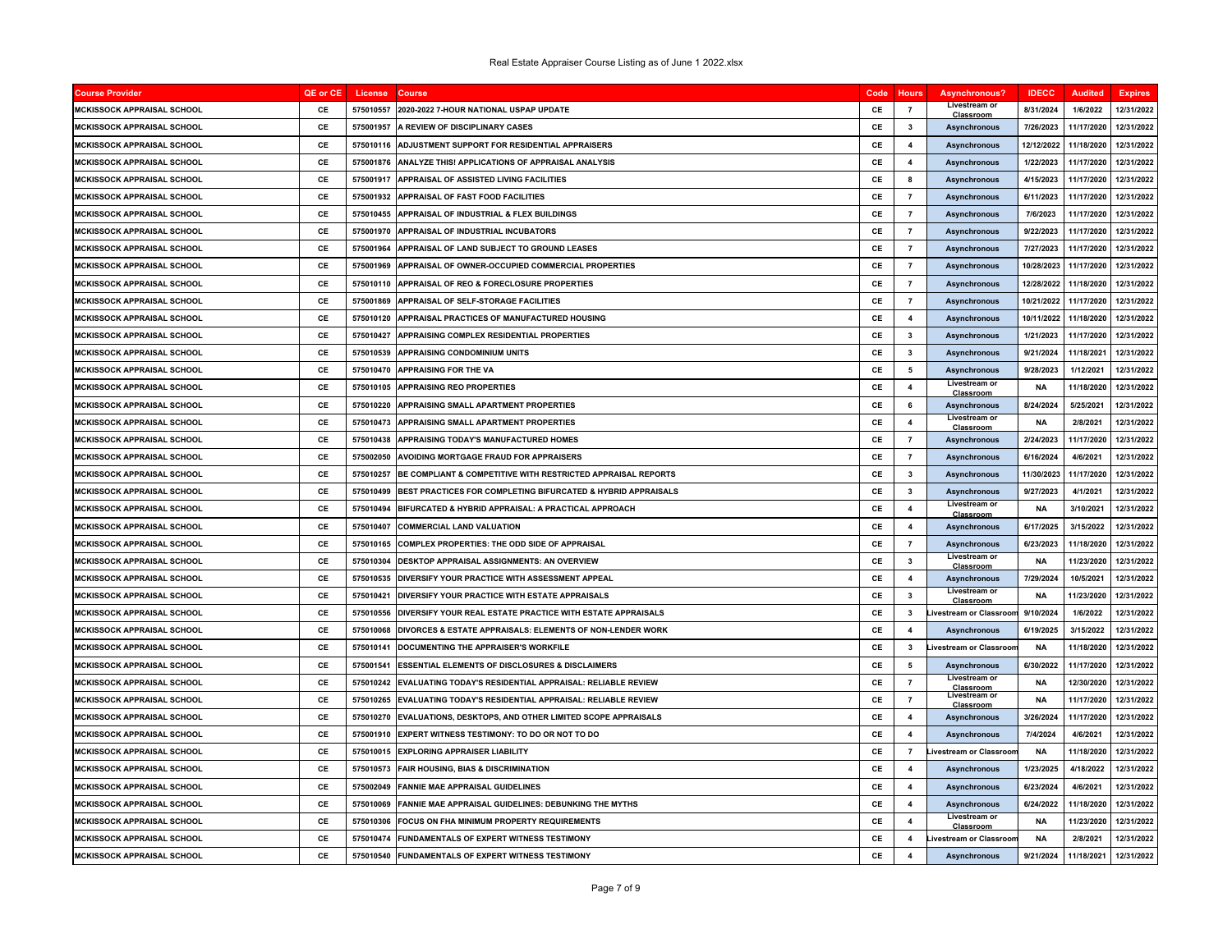| <b>Course Provider</b>            | QE or CE | License   | <b>Course</b>                                                | Code          | <b>Hours</b>            | Asynchronous?                           | <b>IDECC</b> | <b>Audited</b> | <b>Expires</b> |
|-----------------------------------|----------|-----------|--------------------------------------------------------------|---------------|-------------------------|-----------------------------------------|--------------|----------------|----------------|
| <b>MCKISSOCK APPRAISAL SCHOOL</b> | CE       | 575010557 | 2020-2022 7-HOUR NATIONAL USPAP UPDATE                       | <b>CF</b>     | $\overline{7}$          | Livestream or<br>Classroon              | 8/31/2024    | 1/6/2022       | 12/31/2022     |
| MCKISSOCK APPRAISAL SCHOOL        | CE       | 575001957 | <b>A REVIEW OF DISCIPLINARY CASES</b>                        | CE            | 3                       | <b>Asynchronous</b>                     | 7/26/2023    | 11/17/2020     | 12/31/2022     |
| <b>MCKISSOCK APPRAISAL SCHOOL</b> | CE       | 575010116 | ADJUSTMENT SUPPORT FOR RESIDENTIAL APPRAISERS                | CE            | $\overline{\mathbf{4}}$ | <b>Asynchronous</b>                     | 12/12/2022   | 11/18/2020     | 12/31/2022     |
| <b>MCKISSOCK APPRAISAL SCHOOL</b> | CE       | 575001876 | <b>ANALYZE THIS! APPLICATIONS OF APPRAISAL ANALYSIS</b>      | CE            | $\overline{\mathbf{4}}$ | Asynchronous                            | 1/22/2023    | 11/17/2020     | 12/31/2022     |
| <b>MCKISSOCK APPRAISAL SCHOOL</b> | CE       | 575001917 | <b>APPRAISAL OF ASSISTED LIVING FACILITIES</b>               | CE            | 8                       | <b>Asynchronous</b>                     | 4/15/2023    | 11/17/2020     | 12/31/2022     |
| <b>MCKISSOCK APPRAISAL SCHOOL</b> | CE       | 575001932 | APPRAISAL OF FAST FOOD FACILITIES                            | CE            | $\overline{7}$          | <b>Asynchronous</b>                     | 6/11/2023    | 11/17/2020     | 12/31/2022     |
| MCKISSOCK APPRAISAL SCHOOL        | CE       | 575010455 | <b>APPRAISAL OF INDUSTRIAL &amp; FLEX BUILDINGS</b>          | CE            | $\overline{7}$          | <b>Asynchronous</b>                     | 7/6/2023     | 11/17/2020     | 12/31/2022     |
| MCKISSOCK APPRAISAL SCHOOL        | CE       | 575001970 | APPRAISAL OF INDUSTRIAL INCUBATORS                           | CE            | $\overline{7}$          | <b>Asynchronous</b>                     | 9/22/2023    | 11/17/2020     | 12/31/2022     |
| <b>MCKISSOCK APPRAISAL SCHOOL</b> | CE       | 575001964 | APPRAISAL OF LAND SUBJECT TO GROUND LEASES                   | <b>CF</b>     | $\overline{7}$          | <b>Asynchronous</b>                     | 7/27/2023    | 11/17/2020     | 12/31/2022     |
| MCKISSOCK APPRAISAL SCHOOL        | CE       | 575001969 | APPRAISAL OF OWNER-OCCUPIED COMMERCIAL PROPERTIES            | CE            | $\overline{7}$          | <b>Asynchronous</b>                     | 10/28/2023   | 11/17/2020     | 12/31/2022     |
| MCKISSOCK APPRAISAL SCHOOL        | CE       | 575010110 | APPRAISAL OF REO & FORECLOSURE PROPERTIES                    | CE            | $\overline{7}$          | <b>Asynchronous</b>                     | 12/28/2022   | 11/18/2020     | 12/31/2022     |
| <b>MCKISSOCK APPRAISAL SCHOOL</b> | CE       | 575001869 | <b>APPRAISAL OF SELF-STORAGE FACILITIES</b>                  | CE            | $\overline{7}$          | <b>Asynchronous</b>                     | 10/21/2022   | 11/17/2020     | 12/31/2022     |
| <b>MCKISSOCK APPRAISAL SCHOOL</b> | CE       | 575010120 | APPRAISAL PRACTICES OF MANUFACTURED HOUSING                  | CE            | $\overline{\mathbf{4}}$ | Asynchronous                            | 10/11/2022   | 11/18/2020     | 12/31/2022     |
| MCKISSOCK APPRAISAL SCHOOL        | CE       | 575010427 | <b>APPRAISING COMPLEX RESIDENTIAL PROPERTIES</b>             | CE            | 3                       | <b>Asynchronous</b>                     | 1/21/2023    | 11/17/2020     | 12/31/2022     |
| <b>MCKISSOCK APPRAISAL SCHOOL</b> | CE       | 575010539 | <b>APPRAISING CONDOMINIUM UNITS</b>                          | CE            | 3                       | <b>Asynchronous</b>                     | 9/21/2024    | 11/18/2021     | 12/31/2022     |
| MCKISSOCK APPRAISAL SCHOOL        | CE       | 575010470 | <b>APPRAISING FOR THE VA</b>                                 | CE            | 5                       | <b>Asynchronous</b>                     | 9/28/2023    | 1/12/2021      | 12/31/2022     |
| <b>MCKISSOCK APPRAISAL SCHOOL</b> | CE       | 575010105 | <b>APPRAISING REO PROPERTIES</b>                             | CE            | $\overline{\bf{4}}$     | Livestream or<br>Classroom              | <b>NA</b>    | 11/18/2020     | 12/31/2022     |
| <b>MCKISSOCK APPRAISAL SCHOOL</b> | CE       | 575010220 | APPRAISING SMALL APARTMENT PROPERTIES                        | CE            | 6                       | <b>Asynchronous</b>                     | 8/24/2024    | 5/25/2021      | 12/31/2022     |
| MCKISSOCK APPRAISAL SCHOOL        | CE       | 575010473 | APPRAISING SMALL APARTMENT PROPERTIES                        | CE            | $\overline{\mathbf{4}}$ | Livestream or<br>Classroom              | <b>NA</b>    | 2/8/2021       | 12/31/2022     |
| <b>MCKISSOCK APPRAISAL SCHOOL</b> | CE       | 575010438 | APPRAISING TODAY'S MANUFACTURED HOMES                        | CE            | $\overline{7}$          | <b>Asynchronous</b>                     | 2/24/2023    | 11/17/2020     | 12/31/2022     |
| MCKISSOCK APPRAISAL SCHOOL        | CE       | 575002050 | <b>AVOIDING MORTGAGE FRAUD FOR APPRAISERS</b>                | CE            | $\overline{7}$          | Asynchronous                            | 6/16/2024    | 4/6/2021       | 12/31/2022     |
| <b>MCKISSOCK APPRAISAL SCHOOL</b> | CE       | 575010257 | BE COMPLIANT & COMPETITIVE WITH RESTRICTED APPRAISAL REPORTS | CE            | $\mathbf{3}$            | <b>Asynchronous</b>                     | 11/30/2023   | 11/17/2020     | 12/31/2022     |
| <b>MCKISSOCK APPRAISAL SCHOOL</b> | CE       | 575010499 | BEST PRACTICES FOR COMPLETING BIFURCATED & HYBRID APPRAISALS | CE            | 3                       | <b>Asynchronous</b>                     | 9/27/2023    | 4/1/2021       | 12/31/2022     |
| MCKISSOCK APPRAISAL SCHOOL        | CE       | 575010494 | BIFURCATED & HYBRID APPRAISAL: A PRACTICAL APPROACH          | CE            | $\overline{4}$          | Livestream or<br>Classroom              | <b>NA</b>    | 3/10/2021      | 12/31/2022     |
| <b>MCKISSOCK APPRAISAL SCHOOL</b> | CE       | 575010407 | <b>COMMERCIAL LAND VALUATION</b>                             | CE            | $\overline{\mathbf{4}}$ | <b>Asynchronous</b>                     | 6/17/2025    | 3/15/2022      | 12/31/2022     |
| <b>MCKISSOCK APPRAISAL SCHOOL</b> | CE       | 575010165 | <b>COMPLEX PROPERTIES: THE ODD SIDE OF APPRAISAL</b>         | CE            | $\overline{7}$          | Asynchronous                            | 6/23/2023    | 11/18/2020     | 12/31/2022     |
| MCKISSOCK APPRAISAL SCHOOL        | CE       | 575010304 | DESKTOP APPRAISAL ASSIGNMENTS: AN OVERVIEW                   | CE            | 3                       | Livestream or<br>Classroom              | <b>NA</b>    | 11/23/2020     | 12/31/2022     |
| <b>MCKISSOCK APPRAISAL SCHOOL</b> | CE       | 575010535 | DIVERSIFY YOUR PRACTICE WITH ASSESSMENT APPEAL               | CE            | $\overline{\mathbf{4}}$ | <b>Asynchronous</b>                     | 7/29/2024    | 10/5/2021      | 12/31/2022     |
| MCKISSOCK APPRAISAL SCHOOL        | CE       | 575010421 | DIVERSIFY YOUR PRACTICE WITH ESTATE APPRAISALS               | CE            | $\overline{\mathbf{3}}$ | Livestream or<br>Classroom              | <b>NA</b>    | 11/23/2020     | 12/31/2022     |
| MCKISSOCK APPRAISAL SCHOOL        | CE       | 575010556 | DIVERSIFY YOUR REAL ESTATE PRACTICE WITH ESTATE APPRAISALS   | CE            | 3                       | Livestream or Classroon                 | 9/10/2024    | 1/6/2022       | 12/31/2022     |
| MCKISSOCK APPRAISAL SCHOOL        | CE       | 575010068 | DIVORCES & ESTATE APPRAISALS: ELEMENTS OF NON-LENDER WORK    | CE            | $\overline{\mathbf{4}}$ | Asynchronous                            | 6/19/2025    | 3/15/2022      | 12/31/2022     |
| MCKISSOCK APPRAISAL SCHOOL        | CE       | 575010141 | DOCUMENTING THE APPRAISER'S WORKFILE                         | CE            | 3                       | <b>Livestream or Classroon</b>          | <b>NA</b>    | 11/18/2020     | 12/31/2022     |
| MCKISSOCK APPRAISAL SCHOOL        | CE       | 575001541 | <b>ESSENTIAL ELEMENTS OF DISCLOSURES &amp; DISCLAIMERS</b>   | CE            | 5                       | <b>Asynchronous</b>                     | 6/30/2022    | 11/17/2020     | 12/31/2022     |
| <b>MCKISSOCK APPRAISAL SCHOOL</b> | CE       | 575010242 | EVALUATING TODAY'S RESIDENTIAL APPRAISAL: RELIABLE REVIEW    | CE            | $\overline{7}$          | Livestream or                           | <b>NA</b>    | 12/30/2020     | 12/31/2022     |
| <b>MCKISSOCK APPRAISAL SCHOOL</b> | CE       | 575010265 | EVALUATING TODAY'S RESIDENTIAL APPRAISAL: RELIABLE REVIEW    | CE            | $\overline{7}$          | Classroom<br>Livestream or<br>Classroom | <b>NA</b>    | 11/17/2020     | 12/31/2022     |
| <b>MCKISSOCK APPRAISAL SCHOOL</b> | CE       | 575010270 | EVALUATIONS, DESKTOPS, AND OTHER LIMITED SCOPE APPRAISALS    | CE            | $\overline{\mathbf{4}}$ | <b>Asynchronous</b>                     | 3/26/2024    | 11/17/2020     | 12/31/2022     |
| MCKISSOCK APPRAISAL SCHOOL        | CE       | 575001910 | <b>EXPERT WITNESS TESTIMONY: TO DO OR NOT TO DO</b>          | CE            | $\overline{\mathbf{4}}$ | <b>Asynchronous</b>                     | 7/4/2024     | 4/6/2021       | 12/31/2022     |
| MCKISSOCK APPRAISAL SCHOOL        | CE       | 575010015 | <b>EXPLORING APPRAISER LIABILITY</b>                         | CE            | $\overline{7}$          | <b>Livestream or Classroon</b>          | <b>NA</b>    | 11/18/2020     | 12/31/2022     |
| MCKISSOCK APPRAISAL SCHOOL        | CE       | 575010573 | <b>FAIR HOUSING. BIAS &amp; DISCRIMINATION</b>               | CE            | $\overline{\mathbf{4}}$ | <b>Asynchronous</b>                     | 1/23/2025    | 4/18/2022      | 12/31/2022     |
| MCKISSOCK APPRAISAL SCHOOL        | CE       | 575002049 | <b>FANNIE MAE APPRAISAL GUIDELINES</b>                       | CE            | $\overline{4}$          | <b>Asynchronous</b>                     | 6/23/2024    | 4/6/2021       | 12/31/2022     |
| <b>MCKISSOCK APPRAISAL SCHOOL</b> | CE       | 575010069 | FANNIE MAE APPRAISAL GUIDELINES: DEBUNKING THE MYTHS         | CE            | $\overline{\mathbf{4}}$ | <b>Asynchronous</b>                     | 6/24/2022    | 11/18/2020     | 12/31/2022     |
| <b>MCKISSOCK APPRAISAL SCHOOL</b> | CE       | 575010306 | <b>FOCUS ON FHA MINIMUM PROPERTY REQUIREMENTS</b>            | CE            | $\overline{\mathbf{4}}$ | Livestream or<br>Classroon              | <b>NA</b>    | 11/23/2020     | 12/31/2022     |
| <b>MCKISSOCK APPRAISAL SCHOOL</b> | CE       | 575010474 | FUNDAMENTALS OF EXPERT WITNESS TESTIMONY                     | CE            | $\overline{\mathbf{4}}$ | Livestream or Classroon                 | <b>NA</b>    | 2/8/2021       | 12/31/2022     |
| <b>MCKISSOCK APPRAISAL SCHOOL</b> | CE       | 575010540 | FUNDAMENTALS OF EXPERT WITNESS TESTIMONY                     | $\mathsf{CE}$ | $\overline{\mathbf{4}}$ | <b>Asynchronous</b>                     | 9/21/2024    | 11/18/2021     | 12/31/2022     |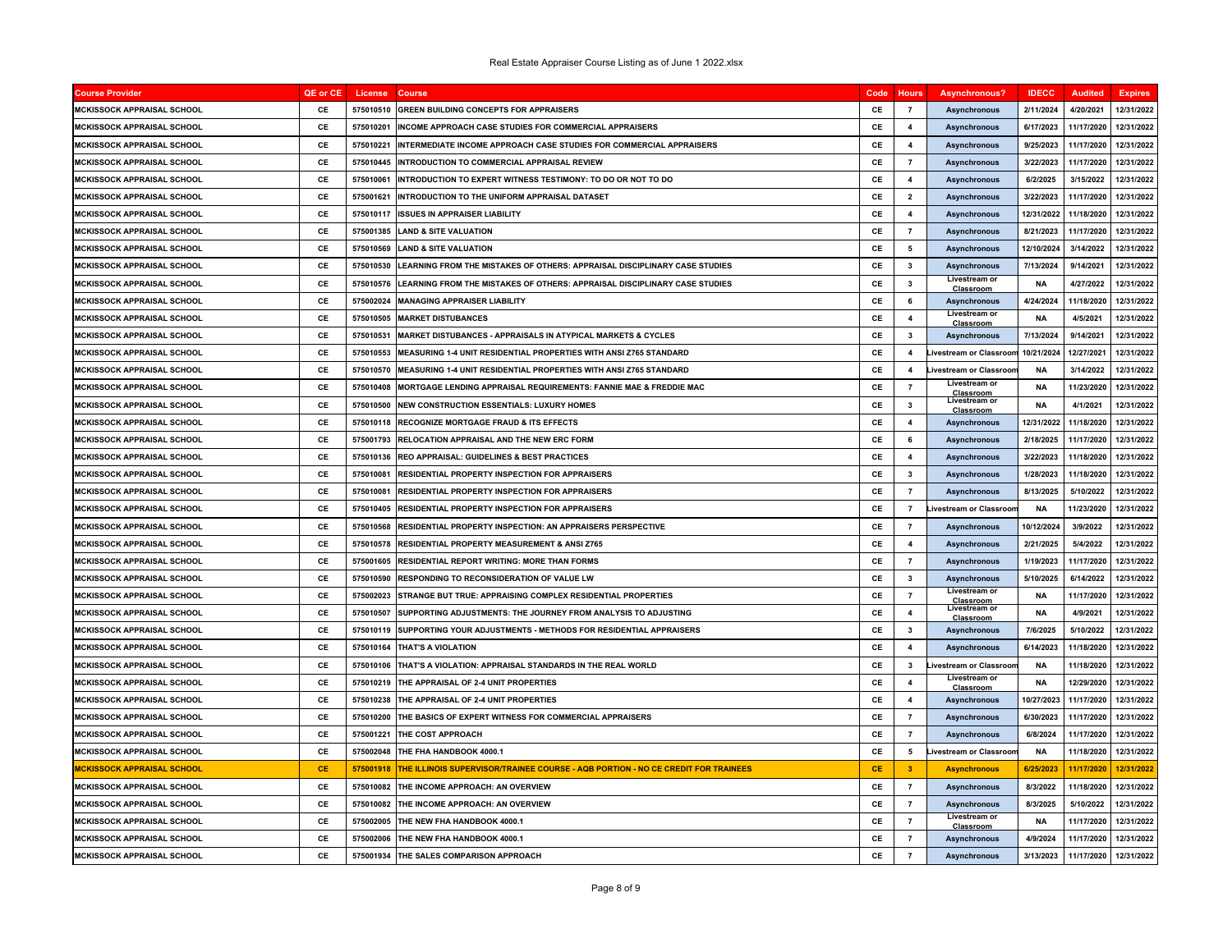| <b>Course Provider</b>            | QE or CE  | License   | <b>Course</b>                                                                    | Code      | <b>Hours</b>            | <b>Asynchronous?</b>           | <b>IDECC</b> | <b>Audited</b> | <b>Expires</b> |
|-----------------------------------|-----------|-----------|----------------------------------------------------------------------------------|-----------|-------------------------|--------------------------------|--------------|----------------|----------------|
| <b>MCKISSOCK APPRAISAL SCHOOL</b> | CE        | 575010510 | <b>GREEN BUILDING CONCEPTS FOR APPRAISERS</b>                                    | CE        | $\overline{7}$          | <b>Asynchronous</b>            | 2/11/2024    | 4/20/2021      | 12/31/2022     |
| <b>MCKISSOCK APPRAISAL SCHOOL</b> | CE        | 575010201 | NCOME APPROACH CASE STUDIES FOR COMMERCIAL APPRAISERS                            | CE        | $\overline{4}$          | <b>Asynchronous</b>            | 6/17/2023    | 11/17/2020     | 12/31/2022     |
| <b>MCKISSOCK APPRAISAL SCHOOL</b> | CE        | 575010221 | INTERMEDIATE INCOME APPROACH CASE STUDIES FOR COMMERCIAL APPRAISERS              | CE        | $\overline{4}$          | <b>Asynchronous</b>            | 9/25/2023    | 11/17/2020     | 12/31/2022     |
| MCKISSOCK APPRAISAL SCHOOL        | CE        | 575010445 | INTRODUCTION TO COMMERCIAL APPRAISAL REVIEW                                      | CE        | $\overline{7}$          | <b>Asynchronous</b>            | 3/22/2023    | 11/17/2020     | 12/31/2022     |
| MCKISSOCK APPRAISAL SCHOOL        | CE        | 575010061 | INTRODUCTION TO EXPERT WITNESS TESTIMONY: TO DO OR NOT TO DO                     | CE        | $\overline{\mathbf{4}}$ | Asynchronous                   | 6/2/2025     | 3/15/2022      | 12/31/2022     |
| <b>MCKISSOCK APPRAISAL SCHOOL</b> | CE        | 575001621 | <b>INTRODUCTION TO THE UNIFORM APPRAISAL DATASET</b>                             | CE        | $\overline{\mathbf{2}}$ | <b>Asynchronous</b>            | 3/22/2023    | 11/17/2020     | 12/31/2022     |
| <b>MCKISSOCK APPRAISAL SCHOOL</b> | CE        | 575010117 | <b>ISSUES IN APPRAISER LIABILITY</b>                                             | CE        | $\overline{\mathbf{4}}$ | Asynchronous                   | 12/31/2022   | 11/18/2020     | 12/31/2022     |
| <b>MCKISSOCK APPRAISAL SCHOOL</b> | CE        | 575001385 | <b>LAND &amp; SITE VALUATION</b>                                                 | CE        | $\overline{7}$          | Asynchronous                   | 8/21/2023    | 11/17/2020     | 12/31/2022     |
| MCKISSOCK APPRAISAL SCHOOL        | CE        | 575010569 | <b>AND &amp; SITE VALUATION</b>                                                  | CE        | 5                       | <b>Asynchronous</b>            | 12/10/2024   | 3/14/2022      | 12/31/2022     |
| MCKISSOCK APPRAISAL SCHOOL        | CE        | 575010530 | LEARNING FROM THE MISTAKES OF OTHERS: APPRAISAL DISCIPLINARY CASE STUDIES        | CE        | 3                       | <b>Asynchronous</b>            | 7/13/2024    | 9/14/2021      | 12/31/2022     |
| MCKISSOCK APPRAISAL SCHOOL        | CE        | 575010576 | LEARNING FROM THE MISTAKES OF OTHERS: APPRAISAL DISCIPLINARY CASE STUDIES        | CE        | 3                       | Livestream or<br>Classroom     | <b>NA</b>    | 4/27/2022      | 12/31/2022     |
| <b>MCKISSOCK APPRAISAL SCHOOL</b> | CE        | 575002024 | <b>MANAGING APPRAISER LIABILITY</b>                                              | CE        | - 6                     | <b>Asynchronous</b>            | 4/24/2024    | 11/18/2020     | 12/31/2022     |
| <b>MCKISSOCK APPRAISAL SCHOOL</b> | CE        | 575010505 | <b>MARKET DISTUBANCES</b>                                                        | CE        | $\overline{\mathbf{4}}$ | Livestream or<br>Classroom     | <b>NA</b>    | 4/5/2021       | 12/31/2022     |
| <b>MCKISSOCK APPRAISAL SCHOOL</b> | CE        | 575010531 | MARKET DISTUBANCES - APPRAISALS IN ATYPICAL MARKETS & CYCLES                     | CE        | $\mathbf{3}$            | <b>Asynchronous</b>            | 7/13/2024    | 9/14/2021      | 12/31/2022     |
| <b>MCKISSOCK APPRAISAL SCHOOL</b> | CE        | 575010553 | <b>MEASURING 1-4 UNIT RESIDENTIAL PROPERTIES WITH ANSI Z765 STANDARD</b>         | CE        | $\overline{\mathbf{4}}$ | <b>Livestream or Classroor</b> | 10/21/2024   | 12/27/2021     | 12/31/2022     |
| MCKISSOCK APPRAISAL SCHOOL        | CE        | 575010570 | MEASURING 1-4 UNIT RESIDENTIAL PROPERTIES WITH ANSI Z765 STANDARD                | CE        | $\overline{4}$          | <b>Livestream or Classroor</b> | <b>NA</b>    | 3/14/2022      | 12/31/2022     |
| MCKISSOCK APPRAISAL SCHOOL        | CE        | 575010408 | MORTGAGE LENDING APPRAISAL REQUIREMENTS: FANNIE MAE & FREDDIE MAC                | CE        | $\overline{7}$          | Livestream of<br>Classroom     | <b>NA</b>    | 11/23/2020     | 12/31/2022     |
| <b>MCKISSOCK APPRAISAL SCHOOL</b> | CE        | 575010500 | <b>NEW CONSTRUCTION ESSENTIALS: LUXURY HOMES</b>                                 | CE        | $\mathbf{3}$            | Livestream or<br>Classroom     | <b>NA</b>    | 4/1/2021       | 12/31/2022     |
| MCKISSOCK APPRAISAL SCHOOL        | CE        | 575010118 | <b>RECOGNIZE MORTGAGE FRAUD &amp; ITS EFFECTS</b>                                | CE        | $\overline{\mathbf{4}}$ | Asynchronous                   | 12/31/2022   | 11/18/2020     | 12/31/2022     |
| <b>MCKISSOCK APPRAISAL SCHOOL</b> | CE        | 575001793 | RELOCATION APPRAISAL AND THE NEW ERC FORM                                        | CE        | 6                       | <b>Asynchronous</b>            | 2/18/2025    | 11/17/2020     | 12/31/2022     |
| MCKISSOCK APPRAISAL SCHOOL        | CE        | 575010136 | <b>REO APPRAISAL: GUIDELINES &amp; BEST PRACTICES</b>                            | CE        | $\overline{\mathbf{4}}$ | <b>Asynchronous</b>            | 3/22/2023    | 11/18/2020     | 12/31/2022     |
| MCKISSOCK APPRAISAL SCHOOL        | CE        | 575010081 | RESIDENTIAL PROPERTY INSPECTION FOR APPRAISERS                                   | CE        | 3                       | Asynchronous                   | 1/28/2023    | 11/18/2020     | 12/31/2022     |
| MCKISSOCK APPRAISAL SCHOOL        | CE        | 575010081 | RESIDENTIAL PROPERTY INSPECTION FOR APPRAISERS                                   | CE        | $\overline{7}$          | <b>Asynchronous</b>            | 8/13/2025    | 5/10/2022      | 12/31/2022     |
| <b>MCKISSOCK APPRAISAL SCHOOL</b> | CE        | 575010405 | RESIDENTIAL PROPERTY INSPECTION FOR APPRAISERS                                   | CE        | $\overline{7}$          | ivestream or Classroor         | <b>NA</b>    | 11/23/2020     | 12/31/2022     |
| <b>MCKISSOCK APPRAISAL SCHOOL</b> | CE        | 575010568 | RESIDENTIAL PROPERTY INSPECTION: AN APPRAISERS PERSPECTIVE                       | CE        | $\overline{7}$          | <b>Asynchronous</b>            | 10/12/2024   | 3/9/2022       | 12/31/2022     |
| <b>MCKISSOCK APPRAISAL SCHOOL</b> | <b>CF</b> | 575010578 | <b>RESIDENTIAL PROPERTY MEASUREMENT &amp; ANSI Z765</b>                          | CE        | $\overline{4}$          | <b>Asynchronous</b>            | 2/21/2025    | 5/4/2022       | 12/31/2022     |
| MCKISSOCK APPRAISAL SCHOOL        | CE        | 575001605 | RESIDENTIAL REPORT WRITING: MORE THAN FORMS                                      | CE        | $\overline{7}$          | <b>Asynchronous</b>            | 1/19/2023    | 11/17/2020     | 12/31/2022     |
| MCKISSOCK APPRAISAL SCHOOL        | CE        | 575010590 | <b>RESPONDING TO RECONSIDERATION OF VALUE LW</b>                                 | CE        | 3                       | <b>Asynchronous</b>            | 5/10/2025    | 6/14/2022      | 12/31/2022     |
| <b>MCKISSOCK APPRAISAL SCHOOL</b> | CE        | 575002023 | STRANGE BUT TRUE: APPRAISING COMPLEX RESIDENTIAL PROPERTIES                      | CE        | $\overline{7}$          | Livestream or<br>Classroom     | <b>NA</b>    | 11/17/2020     | 12/31/2022     |
| MCKISSOCK APPRAISAL SCHOOL        | CE        | 575010507 | SUPPORTING ADJUSTMENTS: THE JOURNEY FROM ANALYSIS TO ADJUSTING                   | CE        | $\overline{\mathbf{4}}$ | Livestream or<br>Classroom     | <b>NA</b>    | 4/9/2021       | 12/31/2022     |
| <b>MCKISSOCK APPRAISAL SCHOOL</b> | CE        | 575010119 | SUPPORTING YOUR ADJUSTMENTS - METHODS FOR RESIDENTIAL APPRAISERS                 | CE        | $\mathbf{3}$            | <b>Asynchronous</b>            | 7/6/2025     | 5/10/2022      | 12/31/2022     |
| MCKISSOCK APPRAISAL SCHOOL        | CE        | 575010164 | THAT'S A VIOLATION                                                               | CE        | $\mathbf{A}$            | <b>Asynchronous</b>            | 6/14/2023    | 11/18/2020     | 12/31/2022     |
| MCKISSOCK APPRAISAL SCHOOL        | CE        | 575010106 | THAT'S A VIOLATION: APPRAISAL STANDARDS IN THE REAL WORLD                        | CE        | 3                       | ivestream or Classroor         | <b>NA</b>    | 11/18/2020     | 12/31/2022     |
| MCKISSOCK APPRAISAL SCHOOL        | CE        | 575010219 | THE APPRAISAL OF 2-4 UNIT PROPERTIES                                             | CE        | $\overline{\mathbf{4}}$ | Livestream or<br>Classroom     | <b>NA</b>    | 12/29/2020     | 12/31/2022     |
| <b>MCKISSOCK APPRAISAL SCHOOL</b> | CE        | 575010238 | THE APPRAISAL OF 2-4 UNIT PROPERTIES                                             | CE        | $\overline{\mathbf{4}}$ | <b>Asynchronous</b>            | 10/27/2023   | 11/17/2020     | 12/31/2022     |
| MCKISSOCK APPRAISAL SCHOOL        | CE        | 575010200 | THE BASICS OF EXPERT WITNESS FOR COMMERCIAL APPRAISERS                           | CE        | $\overline{7}$          | <b>Asynchronous</b>            | 6/30/2023    | 11/17/2020     | 12/31/2022     |
| <b>MCKISSOCK APPRAISAL SCHOOL</b> | CE        | 575001221 | <b>THE COST APPROACH</b>                                                         | CE        | $\overline{7}$          | Asynchronous                   | 6/8/2024     | 11/17/2020     | 12/31/2022     |
| <b>MCKISSOCK APPRAISAL SCHOOL</b> | CE        | 575002048 | THE FHA HANDBOOK 4000.1                                                          | CE        | 5                       | ivestream or Classroor         | <b>NA</b>    | 11/18/2020     | 12/31/2022     |
| <u>MCKISSOCK APPRAISAL SCHOOL</u> | <b>CE</b> | 575001918 | THE ILLINOIS SUPERVISOR/TRAINEE COURSE - AQB PORTION - NO CE CREDIT FOR TRAINEES | <b>CE</b> | $\overline{\mathbf{3}}$ | <b>Asynchronous</b>            | 6/25/2023    | 11/17/2020     | 12/31/2022     |
| MCKISSOCK APPRAISAL SCHOOL        | CE        | 575010082 | THE INCOME APPROACH: AN OVERVIEW                                                 | CE        | $\overline{7}$          | <b>Asynchronous</b>            | 8/3/2022     | 11/18/2020     | 12/31/2022     |
| MCKISSOCK APPRAISAL SCHOOL        | CE        | 575010082 | THE INCOME APPROACH: AN OVERVIEW                                                 | CE        | $\overline{7}$          | <b>Asynchronous</b>            | 8/3/2025     | 5/10/2022      | 12/31/2022     |
| MCKISSOCK APPRAISAL SCHOOL        | CE        | 575002005 | THE NEW FHA HANDBOOK 4000.1                                                      | CE        | $\overline{7}$          | Livestream or<br>Classroom     | <b>NA</b>    | 11/17/2020     | 12/31/2022     |
| <b>MCKISSOCK APPRAISAL SCHOOL</b> | CE        | 575002006 | THE NEW FHA HANDBOOK 4000.1                                                      | CE        | $\overline{7}$          | <b>Asynchronous</b>            | 4/9/2024     | 11/17/2020     | 12/31/2022     |
| <b>MCKISSOCK APPRAISAL SCHOOL</b> | CE        | 575001934 | THE SALES COMPARISON APPROACH                                                    | CE        | $\overline{7}$          | <b>Asynchronous</b>            | 3/13/2023    | 11/17/2020     | 12/31/2022     |